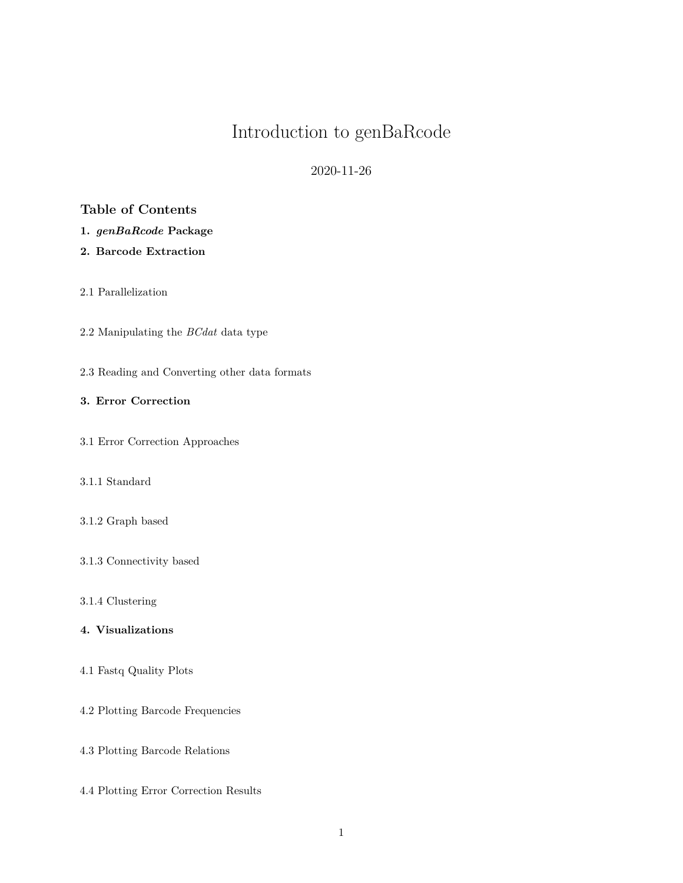# Introduction to genBaRcode

2020-11-26

# **Table of Contents**

- **1.** *[genBaRcode](#page-2-0)* **Package**
- **[2. Barcode Extraction](#page-3-0)**
- [2.1 Parallelization](#page-8-0)
- [2.2 Manipulating the](#page-8-1) *BCdat* data type
- [2.3 Reading and Converting other data formats](#page-9-0)

## **[3. Error Correction](#page-10-0)**

[3.1 Error Correction Approaches](#page-10-1)

## [3.1.1 Standard](#page-10-2)

- [3.1.2 Graph based](#page-12-0)
- [3.1.3 Connectivity based](#page-13-0)
- [3.1.4 Clustering](#page-14-0)

## **[4. Visualizations](#page-16-0)**

- [4.1 Fastq Quality Plots](#page-16-1)
- [4.2 Plotting Barcode Frequencies](#page-18-0)
- [4.3 Plotting Barcode Relations](#page-21-0)
- [4.4 Plotting Error Correction Results](#page-23-0)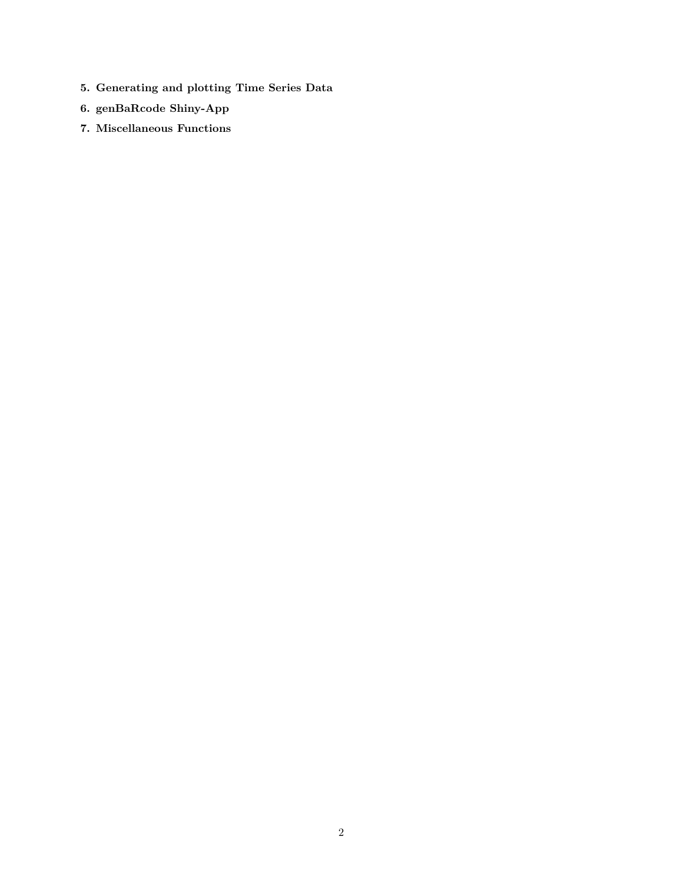- **[5. Generating and plotting Time Series Data](#page-29-0)**
- **[6. genBaRcode Shiny-App](#page-31-0)**
- **[7. Miscellaneous Functions](#page-32-0)**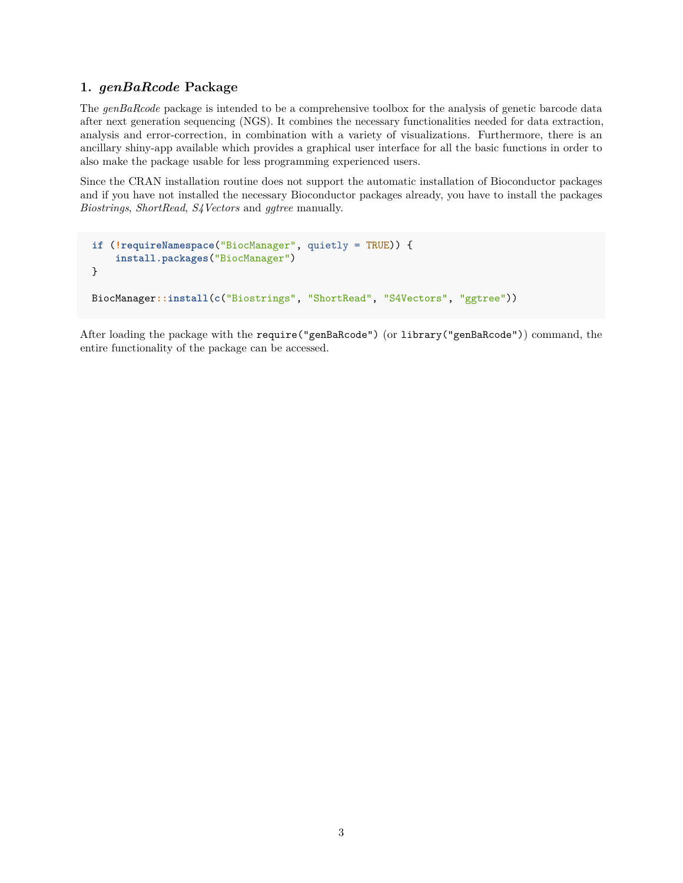## <span id="page-2-0"></span>**1.** *genBaRcode* **Package**

The *genBaRcode* package is intended to be a comprehensive toolbox for the analysis of genetic barcode data after next generation sequencing (NGS). It combines the necessary functionalities needed for data extraction, analysis and error-correction, in combination with a variety of visualizations. Furthermore, there is an ancillary shiny-app available which provides a graphical user interface for all the basic functions in order to also make the package usable for less programming experienced users.

Since the CRAN installation routine does not support the automatic installation of [Bioconductor](http://bioconductor.org) packages and if you have not installed the necessary [Bioconductor](http://bioconductor.org) packages already, you have to [install](https://www.bioconductor.org/install/) the packages *Biostrings*, *ShortRead*, *S4Vectors* and *ggtree* manually.

```
if (!requireNamespace("BiocManager", quietly = TRUE)) {
    install.packages("BiocManager")
}
BiocManager::install(c("Biostrings", "ShortRead", "S4Vectors", "ggtree"))
```
After loading the package with the require("genBaRcode") (or library("genBaRcode")) command, the entire functionality of the package can be accessed.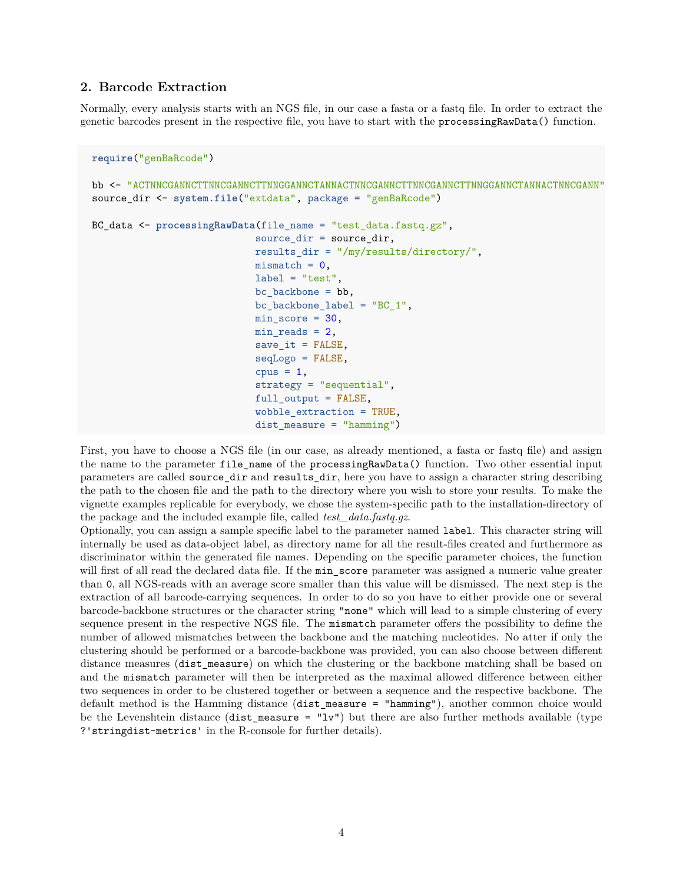## <span id="page-3-0"></span>**2. Barcode Extraction**

Normally, every analysis starts with an NGS file, in our case a fasta or a fastq file. In order to extract the genetic barcodes present in the respective file, you have to start with the processingRawData() function.

```
require("genBaRcode")
bb <- "ACTNNCGANNCTTNNCGANNCTTNNGGANNCTANNACTNNCGANNCTTNNCGANNCTTNNGGANNCTANNACTNNCGANN"
source_dir <- system.file("extdata", package = "genBaRcode")
BC_data <- processingRawData(file_name = "test_data.fastq.gz",
                            source dir = source dir,
                            results_dir = "/my/results/directory/",
                            mismatch = 0,
                            label = "test",bc backbone = bb,
                            bc_backbone_label = "BC_1",
                            min_score = 30,
                            min\_reads = 2,
                            save_i = FALSE,
                            seqLogo = FALSE,
                            cpus = 1,strategy = "sequential",
                            full_output = FALSE,
                            wobble_extraction = TRUE,
                            dist_measure = "hamming")
```
First, you have to choose a NGS file (in our case, as already mentioned, a fasta or fastq file) and assign the name to the parameter file\_name of the processingRawData() function. Two other essential input parameters are called source\_dir and results\_dir, here you have to assign a character string describing the path to the chosen file and the path to the directory where you wish to store your results. To make the vignette examples replicable for everybody, we chose the system-specific path to the installation-directory of the package and the included example file, called *test\_data.fastq.gz*.

Optionally, you can assign a sample specific label to the parameter named label. This character string will internally be used as data-object label, as directory name for all the result-files created and furthermore as discriminator within the generated file names. Depending on the specific parameter choices, the function will first of all read the declared data file. If the min\_score parameter was assigned a numeric value greater than 0, all NGS-reads with an average score smaller than this value will be dismissed. The next step is the extraction of all barcode-carrying sequences. In order to do so you have to either provide one or several barcode-backbone structures or the character string "none" which will lead to a simple clustering of every sequence present in the respective NGS file. The mismatch parameter offers the possibility to define the number of allowed mismatches between the backbone and the matching nucleotides. No atter if only the clustering should be performed or a barcode-backbone was provided, you can also choose between different distance measures (dist measure) on which the clustering or the backbone matching shall be based on and the mismatch parameter will then be interpreted as the maximal allowed difference between either two sequences in order to be clustered together or between a sequence and the respective backbone. The default method is the Hamming distance (dist\_measure = "hamming"), another common choice would be the Levenshtein distance (dist\_measure = " $1v$ ") but there are also further methods available (type ?'stringdist-metrics' in the R-console for further details).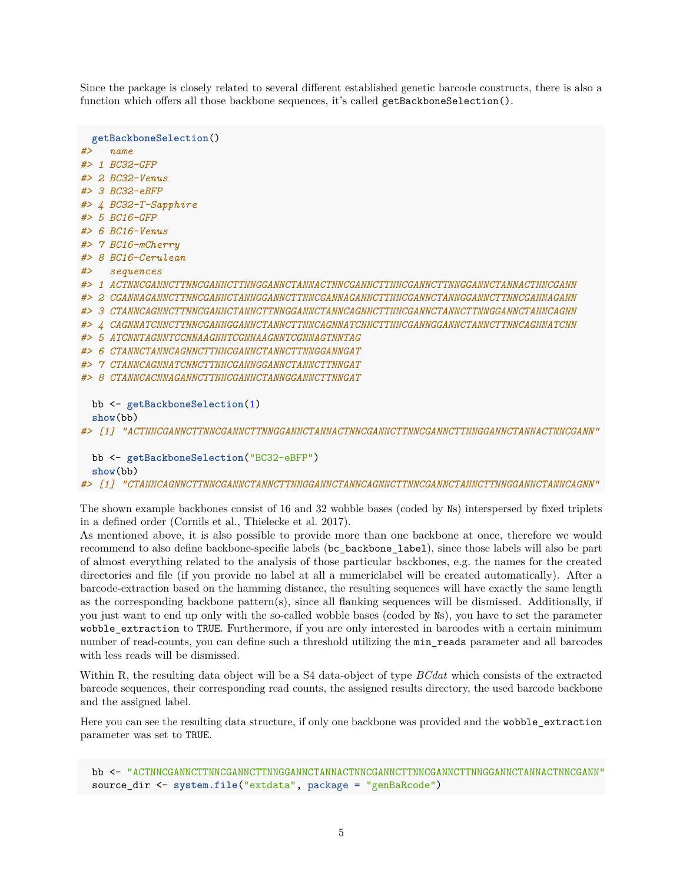Since the package is closely related to several different established genetic barcode constructs, there is also a function which offers all those backbone sequences, it's called getBackboneSelection().

**getBackboneSelection**() *#> name #> 1 BC32-GFP #> 2 BC32-Venus #> 3 BC32-eBFP #> 4 BC32-T-Sapphire #> 5 BC16-GFP #> 6 BC16-Venus #> 7 BC16-mCherry #> 8 BC16-Cerulean #> sequences #> 1 ACTNNCGANNCTTNNCGANNCTTNNGGANNCTANNACTNNCGANNCTTNNCGANNCTTNNGGANNCTANNACTNNCGANN #> 2 CGANNAGANNCTTNNCGANNCTANNGGANNCTTNNCGANNAGANNCTTNNCGANNCTANNGGANNCTTNNCGANNAGANN #> 3 CTANNCAGNNCTTNNCGANNCTANNCTTNNGGANNCTANNCAGNNCTTNNCGANNCTANNCTTNNGGANNCTANNCAGNN #> 4 CAGNNATCNNCTTNNCGANNGGANNCTANNCTTNNCAGNNATCNNCTTNNCGANNGGANNCTANNCTTNNCAGNNATCNN #> 5 ATCNNTAGNNTCCNNAAGNNTCGNNAAGNNTCGNNAGTNNTAG #> 6 CTANNCTANNCAGNNCTTNNCGANNCTANNCTTNNGGANNGAT #> 7 CTANNCAGNNATCNNCTTNNCGANNGGANNCTANNCTTNNGAT #> 8 CTANNCACNNAGANNCTTNNCGANNCTANNGGANNCTTNNGAT* bb <- **getBackboneSelection**(1) **show**(bb) *#> [1] "ACTNNCGANNCTTNNCGANNCTTNNGGANNCTANNACTNNCGANNCTTNNCGANNCTTNNGGANNCTANNACTNNCGANN"* bb <- **getBackboneSelection**("BC32-eBFP")

```
show(bb)
```
*#> [1] "CTANNCAGNNCTTNNCGANNCTANNCTTNNGGANNCTANNCAGNNCTTNNCGANNCTANNCTTNNGGANNCTANNCAGNN"*

The shown example backbones consist of 16 and 32 wobble bases (coded by Ns) interspersed by fixed triplets in a defined order [\(Cornils et al.,](https://academic.oup.com/nar/article/42/7/e56/2437431) [Thielecke et al. 2017\)](https://www.nature.com/articles/srep43249).

As mentioned above, it is also possible to provide more than one backbone at once, therefore we would recommend to also define backbone-specific labels (bc\_backbone\_label), since those labels will also be part of almost everything related to the analysis of those particular backbones, e.g. the names for the created directories and file (if you provide no label at all a numericlabel will be created automatically). After a barcode-extraction based on the hamming distance, the resulting sequences will have exactly the same length as the corresponding backbone pattern(s), since all flanking sequences will be dismissed. Additionally, if you just want to end up only with the so-called wobble bases (coded by Ns), you have to set the parameter wobble\_extraction to TRUE. Furthermore, if you are only interested in barcodes with a certain minimum number of read-counts, you can define such a threshold utilizing the min\_reads parameter and all barcodes with less reads will be dismissed.

Within R, the resulting data object will be a S4 data-object of type *BCdat* which consists of the extracted barcode sequences, their corresponding read counts, the assigned results directory, the used barcode backbone and the assigned label.

Here you can see the resulting data structure, if only one backbone was provided and the wobble\_extraction parameter was set to TRUE.

bb <- "ACTNNCGANNCTTNNCGANNCTTNNGGANNCTANNACTNNCGANNCTTNNCGANNCTTNNGGANNCTANNACTNNCGANN" source\_dir <- **system.file**("extdata", package = "genBaRcode")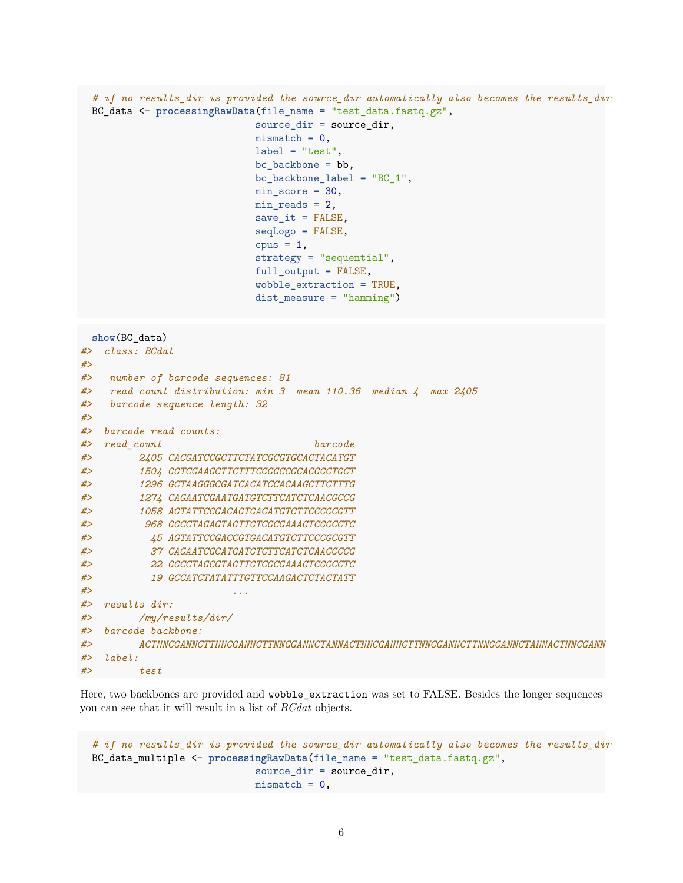```
# if no results_dir is provided the source_dir automatically also becomes the results_dir
BC_data <- processingRawData(file_name = "test_data.fastq.gz",
                            source_dir = source_dir,
                            mismatch = 0,
                            label = "test"bc backbone = bb,
                            bc\_backbone\_label = "BC_1",min score = 30,
                            min reads = 2,
                            save_it = FALSE,
                            seqLogo = FALSE,
                            cpus = 1,strategy = "sequential",
                            full_output = FALSE,
                            wobble extraction = TRUE,
                            dist_measure = "hamming")
```

```
show(BC_data)
```

```
#> class: BCdat
#>
#> number of barcode sequences: 81
#> read count distribution: min 3 mean 110.36 median 4 max 2405
#> barcode sequence length: 32
#>
#> barcode read counts:
#> read_count barcode
#> 2405 CACGATCCGCTTCTATCGCGTGCACTACATGT
#> 1504 GGTCGAAGCTTCTTTCGGGCCGCACGGCTGCT
#> 1296 GCTAAGGGCGATCACATCCACAAGCTTCTTTG
#> 1274 CAGAATCGAATGATGTCTTCATCTCAACGCCG
#> 1058 AGTATTCCGACAGTGACATGTCTTCCCGCGTT
#> 968 GGCCTAGAGTAGTTGTCGCGAAAGTCGGCCTC
#> 45 AGTATTCCGACCGTGACATGTCTTCCCGCGTT
#> 37 CAGAATCGCATGATGTCTTCATCTCAACGCCG
#> 22 GGCCTAGCGTAGTTGTCGCGAAAGTCGGCCTC
#> 19 GCCATCTATATTTGTTCCAAGACTCTACTATT
#> ...
#> results dir:
#> /my/results/dir/
#> barcode backbone:
#> ACTNNCGANNCTTNNCGANNCTTNNGGANNCTANNACTNNCGANNCTTNNCGANNCTTNNGGANNCTANNACTNNCGANN
#> label:
#> test
```
Here, two backbones are provided and wobble\_extraction was set to FALSE. Besides the longer sequences you can see that it will result in a list of *BCdat* objects.

```
# if no results_dir is provided the source_dir automatically also becomes the results_dir
BC_data_multiple <- processingRawData(file_name = "test_data.fastq.gz",
                            source_dir = source_dir,
                            mismatch = 0,
```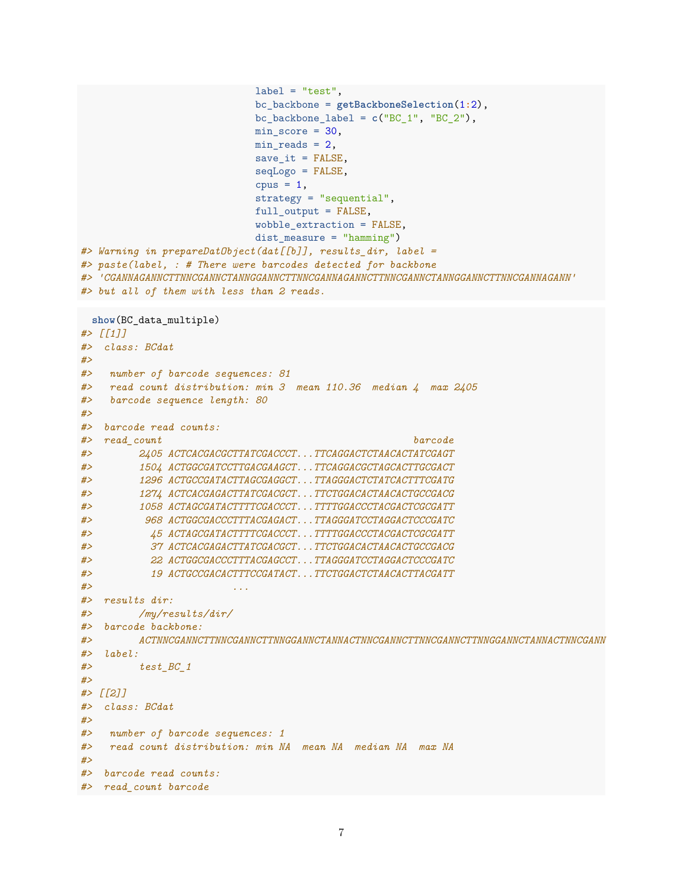```
label = "test".
                           bc_backbone = getBackboneSelection(1:2),
                           bc_backbone\_label = c("BC_1", "BC_2"),
                           min score = 30,
                           min reads = 2,
                           save_it = FALSE,
                           seqLogo = FALSE,
                           cpus = 1,strategy = "sequential",
                           full_output = FALSE,
                           wobble_extraction = FALSE,
                           dist_measure = "hamming")
#> Warning in prepareDatObject(dat[[b]], results_dir, label =
#> paste(label, : # There were barcodes detected for backbone
#> 'CGANNAGANNCTTNNCGANNCTANNGGANNCTTNNCGANNAGANNCTTNNCGANNCTANNGGANNCTTNNCGANNAGANN'
#> but all of them with less than 2 reads.
 show(BC data multiple)
#> [[1]]
#> class: BCdat
#>
#> number of barcode sequences: 81
#> read count distribution: min 3 mean 110.36 median 4 max 2405
#> barcode sequence length: 80
#>
#> barcode read counts:
#> read_count barcode
#> 2405 ACTCACGACGCTTATCGACCCT...TTCAGGACTCTAACACTATCGAGT
#> 1504 ACTGGCGATCCTTGACGAAGCT...TTCAGGACGCTAGCACTTGCGACT
#> 1296 ACTGCCGATACTTAGCGAGGCT...TTAGGGACTCTATCACTTTCGATG
#> 1274 ACTCACGAGACTTATCGACGCT...TTCTGGACACTAACACTGCCGACG
#> 1058 ACTAGCGATACTTTTCGACCCT...TTTTGGACCCTACGACTCGCGATT
#> 968 ACTGGCGACCCTTTACGAGACT...TTAGGGATCCTAGGACTCCCGATC
#> 45 ACTAGCGATACTTTTCGACCCT...TTTTGGACCCTACGACTCGCGATT
#> 37 ACTCACGAGACTTATCGACGCT...TTCTGGACACTAACACTGCCGACG
#> 22 ACTGGCGACCCTTTACGAGCCT...TTAGGGATCCTAGGACTCCCGATC
#> 19 ACTGCCGACACTTTCCGATACT...TTCTGGACTCTAACACTTACGATT
#> ...
#> results dir:
#> /my/results/dir/
#> barcode backbone:
#> ACTNNCGANNCTTNNCGANNCTTNNGGANNCTANNACTNNCGANNCTTNNCGANNCTTNNGGANNCTANNACTNNCGANN
#> label:
#> test_BC_1
#>
#> [[2]]
#> class: BCdat
#>
#> number of barcode sequences: 1
#> read count distribution: min NA mean NA median NA max NA
#>
#> barcode read counts:
#> read_count barcode
```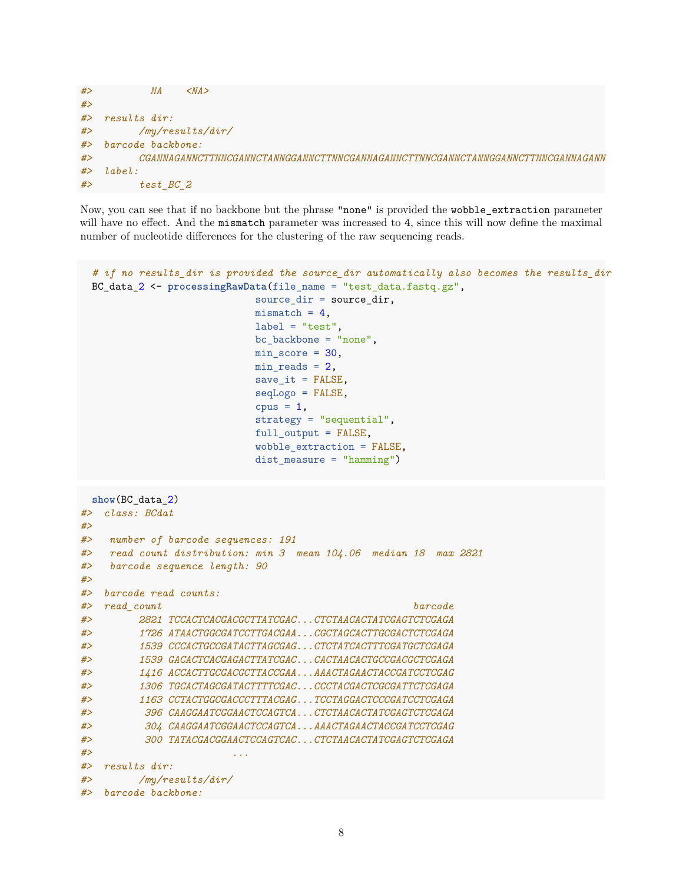```
#> NA <NA>
#>
#> results dir:
#> /my/results/dir/
#> barcode backbone:
#> CGANNAGANNCTTNNCGANNCTANNGGANNCTTNNCGANNAGANNCTTNNCGANNCTANNGGANNCTTNNCGANNAGANN
#> label:
#> test_BC_2
```
Now, you can see that if no backbone but the phrase "none" is provided the wobble\_extraction parameter will have no effect. And the mismatch parameter was increased to 4, since this will now define the maximal number of nucleotide differences for the clustering of the raw sequencing reads.

```
# if no results_dir is provided the source_dir automatically also becomes the results_dir
 BC_data_2 <- processingRawData(file_name = "test_data.fastq.gz",
                           source_dir = source_dir,
                           mismatch = 4,
                           label = "test",bc_backbone = "none",
                           min score = 30,
                          min_reads = 2,
                           save_it = FALSE,
                           seqLogo = FALSE,
                           cpus = 1,
                           strategy = "sequential",
                           full_output = FALSE,
                           wobble_extraction = FALSE,
                           dist_measure = "hamming")
 show(BC_data_2)
#> class: BCdat
#>
#> number of barcode sequences: 191
#> read count distribution: min 3 mean 104.06 median 18 max 2821
#> barcode sequence length: 90
#>
#> barcode read counts:
#> read_count barcode
#> 2821 TCCACTCACGACGCTTATCGAC...CTCTAACACTATCGAGTCTCGAGA
#> 1726 ATAACTGGCGATCCTTGACGAA...CGCTAGCACTTGCGACTCTCGAGA
#> 1539 CCCACTGCCGATACTTAGCGAG...CTCTATCACTTTCGATGCTCGAGA
#> 1539 GACACTCACGAGACTTATCGAC...CACTAACACTGCCGACGCTCGAGA
#> 1416 ACCACTTGCGACGCTTACCGAA...AAACTAGAACTACCGATCCTCGAG
#> 1306 TGCACTAGCGATACTTTTCGAC...CCCTACGACTCGCGATTCTCGAGA
#> 1163 CCTACTGGCGACCCTTTACGAG...TCCTAGGACTCCCGATCCTCGAGA
#> 396 CAAGGAATCGGAACTCCAGTCA...CTCTAACACTATCGAGTCTCGAGA
#> 304 CAAGGAATCGGAACTCCAGTCA...AAACTAGAACTACCGATCCTCGAG
#> 300 TATACGACGGAACTCCAGTCAC...CTCTAACACTATCGAGTCTCGAGA
#> ...
#> results dir:
#> /my/results/dir/
#> barcode backbone:
```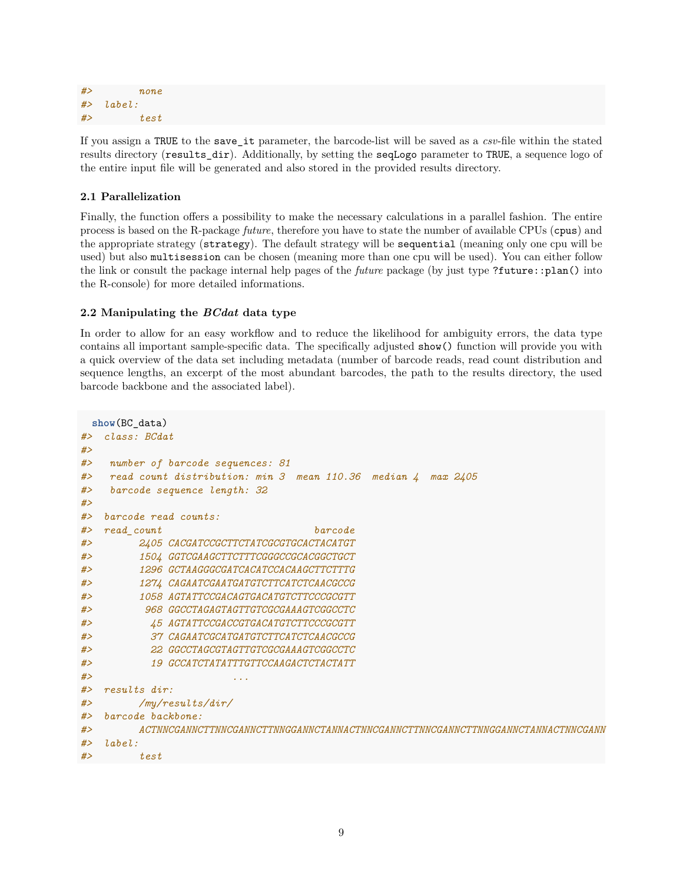```
#> none
#> label:
#> test
```
If you assign a TRUE to the save\_it parameter, the barcode-list will be saved as a *csv*-file within the stated results directory (results dir). Additionally, by setting the seqLogo parameter to TRUE, a [sequence logo](https://academic.oup.com/bioinformatics/article/33/22/3645/3980251) of the entire input file will be generated and also stored in the provided results directory.

## <span id="page-8-0"></span>**2.1 Parallelization**

Finally, the function offers a possibility to make the necessary calculations in a parallel fashion. The entire process is based on the R-package *[future](https://cran.r-project.org/web/packages/future/vignettes/future-1-overview.html)*, therefore you have to state the number of available CPUs (cpus) and the appropriate strategy (strategy). The default strategy will be sequential (meaning only one cpu will be used) but also multisession can be chosen (meaning more than one cpu will be used). You can either follow the [link](https://cran.r-project.org/web/packages/future/vignettes/future-1-overview.html) or consult the package internal help pages of the *future* package (by just type ?future::plan() into the R-console) for more detailed informations.

## <span id="page-8-1"></span>**2.2 Manipulating the** *BCdat* **data type**

In order to allow for an easy workflow and to reduce the likelihood for ambiguity errors, the data type contains all important sample-specific data. The specifically adjusted show() function will provide you with a quick overview of the data set including metadata (number of barcode reads, read count distribution and sequence lengths, an excerpt of the most abundant barcodes, the path to the results directory, the used barcode backbone and the associated label).

```
show(BC_data)
#> class: BCdat
#>
#> number of barcode sequences: 81
#> read count distribution: min 3 mean 110.36 median 4 max 2405
#> barcode sequence length: 32
#>
#> barcode read counts:
#> read_count barcode
#> 2405 CACGATCCGCTTCTATCGCGTGCACTACATGT
#> 1504 GGTCGAAGCTTCTTTCGGGCCGCACGGCTGCT
#> 1296 GCTAAGGGCGATCACATCCACAAGCTTCTTTG
#> 1274 CAGAATCGAATGATGTCTTCATCTCAACGCCG
#> 1058 AGTATTCCGACAGTGACATGTCTTCCCGCGTT
#> 968 GGCCTAGAGTAGTTGTCGCGAAAGTCGGCCTC
#> 45 AGTATTCCGACCGTGACATGTCTTCCCGCGTT
#> 37 CAGAATCGCATGATGTCTTCATCTCAACGCCG
#> 22 GGCCTAGCGTAGTTGTCGCGAAAGTCGGCCTC
#> 19 GCCATCTATATTTGTTCCAAGACTCTACTATT
#> ...
#> results dir:
#> /my/results/dir/
#> barcode backbone:
#> ACTNNCGANNCTTNNCGANNCTTNNGGANNCTANNACTNNCGANNCTTNNCGANNCTTNNGGANNCTANNACTNNCGANN
#> label:
#> test
```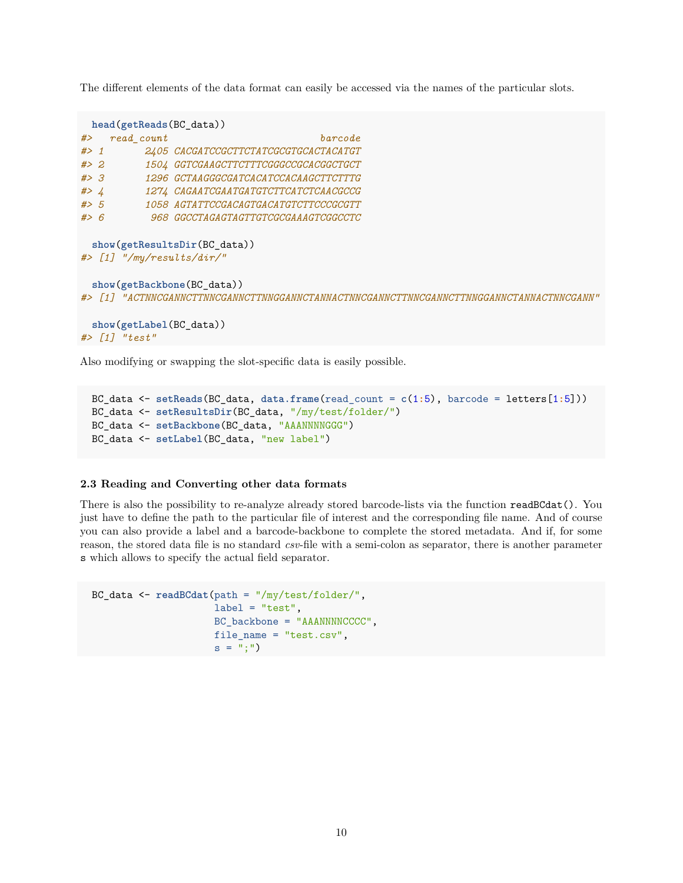The different elements of the data format can easily be accessed via the names of the particular slots.

|           | head(getReads(BC_data))       |                                                                                                                                |
|-----------|-------------------------------|--------------------------------------------------------------------------------------------------------------------------------|
| #>        | read count                    | barcode                                                                                                                        |
| $#$ 1     |                               | 2405 CACGATCCGCTTCTATCGCGTGCACTACATGT                                                                                          |
| # > 2     |                               | 1504 GGTCGAAGCTTCTTTCGGGCCGCACGGCTGCT                                                                                          |
| #>3       |                               | 1296 GCTAAGGGCGATCACATCCACAAGCTTCTTTG                                                                                          |
| #> $4$    |                               | 1274 CAGAATCGAATGATGTCTTCATCTCAACGCCG                                                                                          |
| $#$ > 5   |                               | 1058 AGTATTCCGACAGTGACATGTCTTCCCGCGTT                                                                                          |
| # > 6     |                               | <i>968 GGCCTAGAGTAGTTGTCGCGAAAGTCGGCCTC</i>                                                                                    |
|           | $\#$ > [1] "/my/results/dir/" | show(getResultsDir(BC data))                                                                                                   |
| $#$ > 111 |                               | show(getBackbone(BC_data))<br>" A CTNNCGA NNCTTNNCGA NNCTTNNGGA NNCTA NNA CTNNCGA NNCTTNNCGA NNCTTNNGGA NNCTA NNA CTNNCGA NN " |

```
show(getLabel(BC_data))
#> [1] "test"
```
Also modifying or swapping the slot-specific data is easily possible.

```
BC_data <- setReads(BC_data, data.frame(read_count = c(1:5), barcode = letters[1:5]))
BC_data <- setResultsDir(BC_data, "/my/test/folder/")
BC_data <- setBackbone(BC_data, "AAANNNNGGG")
BC_data <- setLabel(BC_data, "new label")
```
#### <span id="page-9-0"></span>**2.3 Reading and Converting other data formats**

There is also the possibility to re-analyze already stored barcode-lists via the function readBCdat(). You just have to define the path to the particular file of interest and the corresponding file name. And of course you can also provide a label and a barcode-backbone to complete the stored metadata. And if, for some reason, the stored data file is no standard *csv*-file with a semi-colon as separator, there is another parameter s which allows to specify the actual field separator.

```
BC_data <- readBCdat(path = "/my/test/folder/",
                     label = "test",BC_backbone = "AAANNNNCCCC",
                     file_name = "test.csv",
                     s = "; ")
```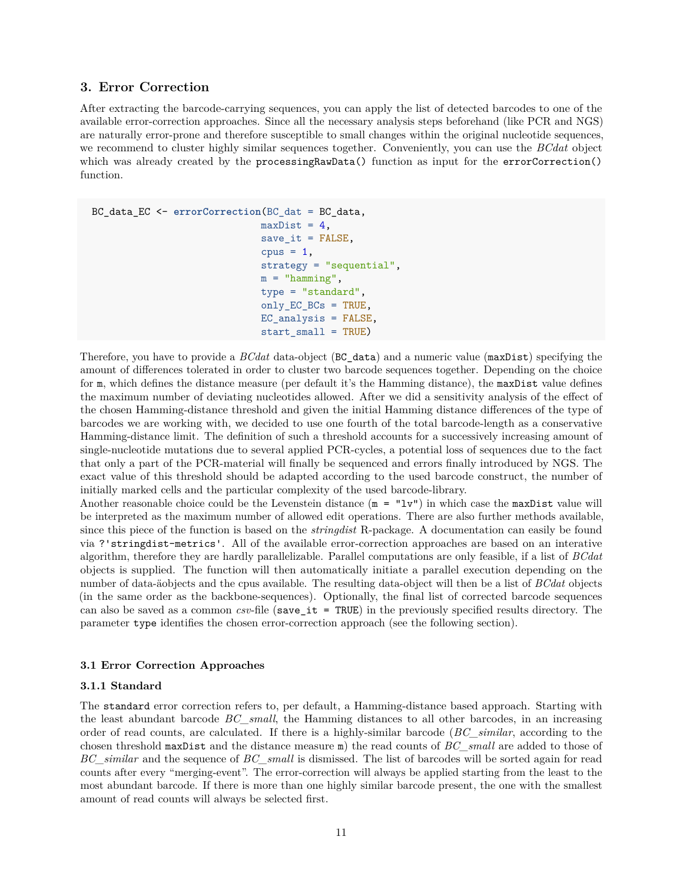#### <span id="page-10-0"></span>**3. Error Correction**

After extracting the barcode-carrying sequences, you can apply the list of detected barcodes to one of the available error-correction approaches. Since all the necessary analysis steps beforehand (like PCR and NGS) are naturally error-prone and therefore susceptible to small changes within the original nucleotide sequences, we recommend to cluster highly similar sequences together. Conveniently, you can use the *BCdat* object which was already created by the processingRawData() function as input for the errorCorrection() function.

```
BC_data_EC <- errorCorrection(BC_dat = BC_data,
                             maxDist = 4,
                              save it = FALSE,
                              cpus = 1,strategy = "sequential",
                              m = "hamming",
                              type = "standard",
                              only_EC_BCs = TRUE,
                              EC_analysis = FALSE,
                              start_small = TRUE)
```
Therefore, you have to provide a *BCdat* data-object (BC\_data) and a numeric value (maxDist) specifying the amount of differences tolerated in order to cluster two barcode sequences together. Depending on the choice for m, which defines the distance measure (per default it's the [Hamming distance\)](https://en.wikipedia.org/wiki/Hamming_distance), the maxDist value defines the maximum number of deviating nucleotides allowed. After we did a sensitivity analysis of the effect of the chosen Hamming-distance threshold and given the initial [Hamming distance](https://en.wikipedia.org/wiki/Hamming_distance) differences of the type of barcodes we are working with, we decided to use one fourth of the total barcode-length as a conservative Hamming-distance limit. The definition of such a threshold accounts for a successively increasing amount of single-nucleotide mutations due to several applied PCR-cycles, a potential loss of sequences due to the fact that only a part of the PCR-material will finally be sequenced and errors finally introduced by NGS. The exact value of this threshold should be adapted according to the used barcode construct, the number of initially marked cells and the particular complexity of the used barcode-library.

Another reasonable choice could be the Levenstein distance  $(m = "l v")$  in which case the maxDist value will be interpreted as the maximum number of allowed edit operations. There are also further methods available, since this piece of the function is based on the *stringdist* R-package. A documentation can easily be found via ?'stringdist-metrics'. All of the available error-correction approaches are based on an interative algorithm, therefore they are hardly parallelizable. Parallel computations are only feasible, if a list of *BCdat* objects is supplied. The function will then automatically initiate a parallel execution depending on the number of data-äobjects and the cpus available. The resulting data-object will then be a list of *BCdat* objects (in the same order as the backbone-sequences). Optionally, the final list of corrected barcode sequences can also be saved as a common *csv*-file (save\_it = TRUE) in the previously specified results directory. The parameter type identifies the chosen error-correction approach (see the following section).

### <span id="page-10-1"></span>**3.1 Error Correction Approaches**

#### <span id="page-10-2"></span>**3.1.1 Standard**

The standard error correction refers to, per default, a [Hamming-distance](https://en.wikipedia.org/wiki/Hamming_distance) based approach. Starting with the least abundant barcode *BC\_small*, the Hamming distances to all other barcodes, in an increasing order of read counts, are calculated. If there is a highly-similar barcode (*BC\_similar*, according to the chosen threshold maxDist and the distance measure m) the read counts of *BC\_small* are added to those of *BC\_similar* and the sequence of *BC\_small* is dismissed. The list of barcodes will be sorted again for read counts after every "merging-event". The error-correction will always be applied starting from the least to the most abundant barcode. If there is more than one highly similar barcode present, the one with the smallest amount of read counts will always be selected first.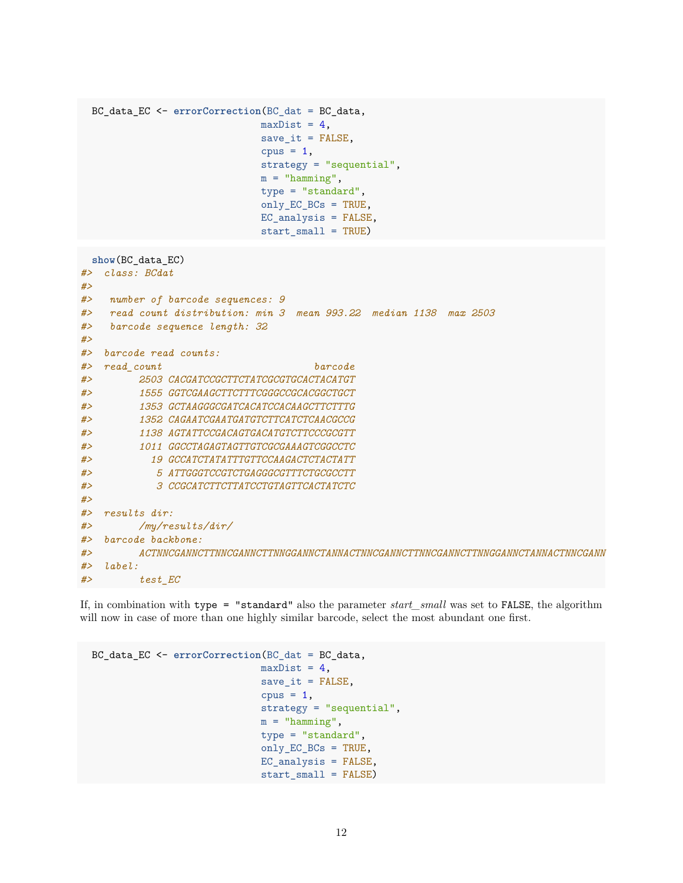```
BC_data_EC <- errorCorrection(BC_dat = BC_data,
                           maxDist = 4,
                           save it = FALSE,
                           cpus = 1,strategy = "sequential",
                           m = "hamming",
                           type = "standard",
                           only_EC_BCs = TRUE,
                           EC<sub>analysis</sub> = FALSE,
                           start_small = TRUE)
 show(BC_data_EC)
#> class: BCdat
#>
#> number of barcode sequences: 9
#> read count distribution: min 3 mean 993.22 median 1138 max 2503
#> barcode sequence length: 32
#>
#> barcode read counts:
#> read_count barcode
#> 2503 CACGATCCGCTTCTATCGCGTGCACTACATGT
#> 1555 GGTCGAAGCTTCTTTCGGGCCGCACGGCTGCT
#> 1353 GCTAAGGGCGATCACATCCACAAGCTTCTTTG
#> 1352 CAGAATCGAATGATGTCTTCATCTCAACGCCG
#> 1138 AGTATTCCGACAGTGACATGTCTTCCCGCGTT
#> 1011 GGCCTAGAGTAGTTGTCGCGAAAGTCGGCCTC
#> 19 GCCATCTATATTTGTTCCAAGACTCTACTATT
#> 5 ATTGGGTCCGTCTGAGGGCGTTTCTGCGCCTT
#> 3 CCGCATCTTCTTATCCTGTAGTTCACTATCTC
#>
#> results dir:
#> /my/results/dir/
#> barcode backbone:
#> ACTNNCGANNCTTNNCGANNCTTNNGGANNCTANNACTNNCGANNCTTNNCGANNCTTNNGGANNCTANNACTNNCGANN
#> label:
#> test_EC
```
If, in combination with type = "standard" also the parameter *start\_small* was set to FALSE, the algorithm will now in case of more than one highly similar barcode, select the most abundant one first.

```
BC_data_EC <- errorCorrection(BC_dat = BC_data,
                             maxDist = 4,
                             save_i = FALSE,
                             cpus = 1,strategy = "sequential",
                             m = "hamming",
                             type = "standard",
                             only_EC_BCs = TRUE,
                             EC_analysis = FALSE,
                             start_small = FALSE)
```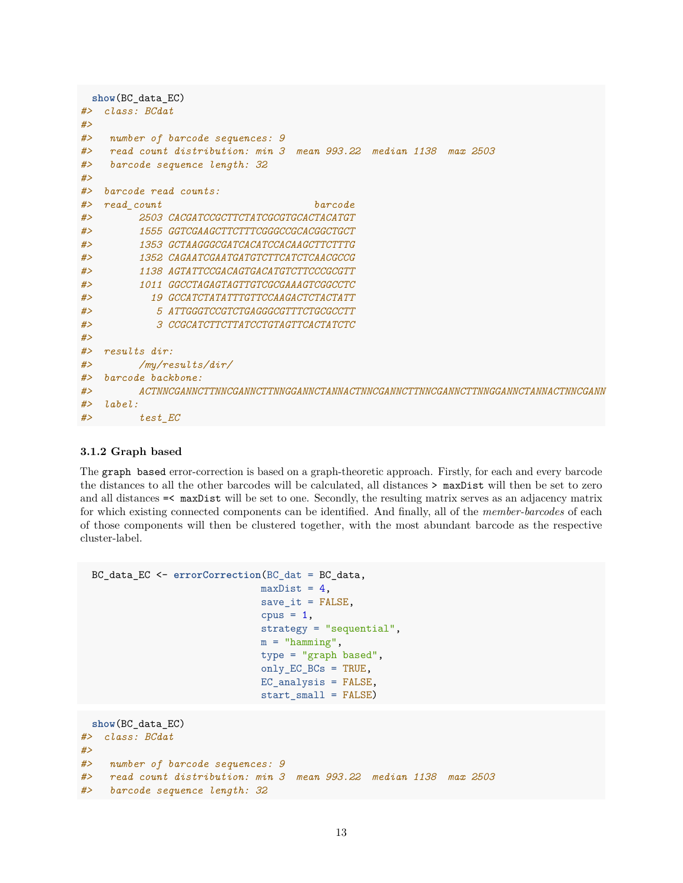```
show(BC_data_EC)
#> class: BCdat
#>
#> number of barcode sequences: 9
#> read count distribution: min 3 mean 993.22 median 1138 max 2503
#> barcode sequence length: 32
#>
#> barcode read counts:
#> read_count barcode
#> 2503 CACGATCCGCTTCTATCGCGTGCACTACATGT
#> 1555 GGTCGAAGCTTCTTTCGGGCCGCACGGCTGCT
#> 1353 GCTAAGGGCGATCACATCCACAAGCTTCTTTG
#> 1352 CAGAATCGAATGATGTCTTCATCTCAACGCCG
#> 1138 AGTATTCCGACAGTGACATGTCTTCCCGCGTT
#> 1011 GGCCTAGAGTAGTTGTCGCGAAAGTCGGCCTC
#> 19 GCCATCTATATTTGTTCCAAGACTCTACTATT
#> 5 ATTGGGTCCGTCTGAGGGCGTTTCTGCGCCTT
#> 3 CCGCATCTTCTTATCCTGTAGTTCACTATCTC
#>
#> results dir:
#> /my/results/dir/
#> barcode backbone:
#> ACTNNCGANNCTTNNCGANNCTTNNGGANNCTANNACTNNCGANNCTTNNCGANNCTTNNGGANNCTANNACTNNCGANN
#> label:
#> test_EC
```
#### <span id="page-12-0"></span>**3.1.2 Graph based**

The graph based error-correction is based on a graph-theoretic approach. Firstly, for each and every barcode the distances to all the other barcodes will be calculated, all distances > maxDist will then be set to zero and all distances =< maxDist will be set to one. Secondly, the resulting matrix serves as an adjacency matrix for which existing connected components can be identified. And finally, all of the *member-barcodes* of each of those components will then be clustered together, with the most abundant barcode as the respective cluster-label.

```
BC_data_EC <- errorCorrection(BC_dat = BC_data,
                               maxDist = 4,
                               save_i = FALSE,
                               cpus = 1,
                               strategy = "sequential",
                               m = "hamming",
                               type = "graph based",
                               only_EC_BCs = TRUE,
                               EC_analysis = FALSE,
                               start small = FALSE)
 show(BC_data_EC)
#> class: BCdat
#>
#> number of barcode sequences: 9
```

```
#> read count distribution: min 3 mean 993.22 median 1138 max 2503
```

```
#> barcode sequence length: 32
```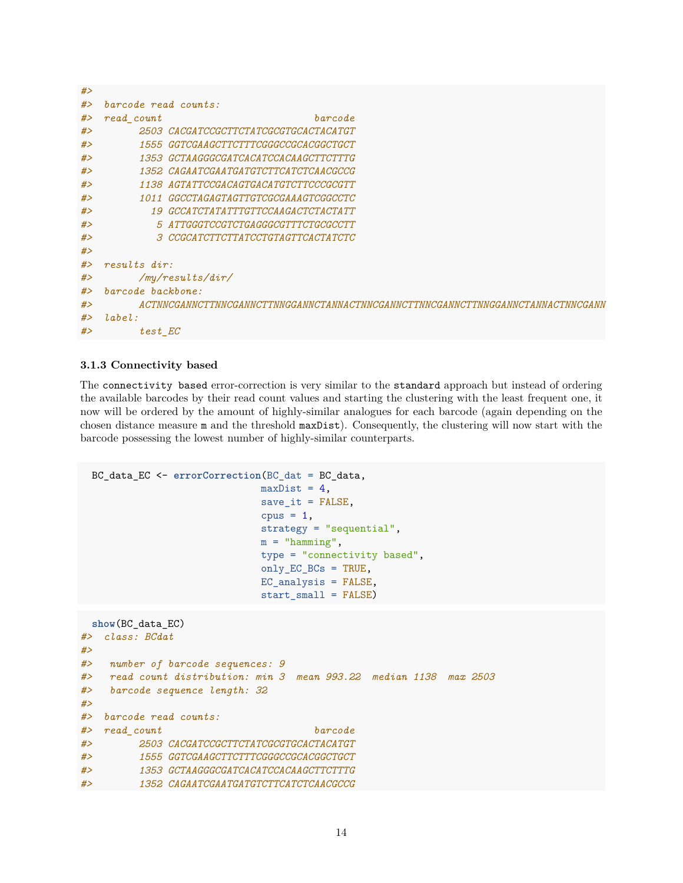| #> |                                                                                  |                                              |  |
|----|----------------------------------------------------------------------------------|----------------------------------------------|--|
| #> | barcode read counts:                                                             |                                              |  |
| #> | read count                                                                       | barcode                                      |  |
| #> |                                                                                  | 2503 CACGATCCGCTTCTATCGCGTGCACTACATGT        |  |
| #> |                                                                                  | <i>1555 GGTCGAAGCTTCTTTCGGGCCGCACGGCTGCT</i> |  |
| #> |                                                                                  | 1353 GCTAAGGGCGATCACATCCACAAGCTTCTTTG        |  |
| #> |                                                                                  | 1352 CAGAATCGAATGATGTCTTCATCTCAACGCCG        |  |
| #> |                                                                                  | 1138 AGTATTCCGACAGTGACATGTCTTCCCGCGTT        |  |
| #> |                                                                                  | 1011 GGCCTAGAGTAGTTGTCGCGAAAGTCGGCCTC        |  |
| #> |                                                                                  | 19 GCCATCTATATTTGTTCCAAGACTCTACTATT          |  |
| #> |                                                                                  | 5 ATTGGGTCCGTCTGAGGGCGTTTCTGCGCCTT           |  |
| #> |                                                                                  | 3 CCGCATCTTCTTATCCTGTAGTTCACTATCTC           |  |
| #> |                                                                                  |                                              |  |
| #> | results dir:                                                                     |                                              |  |
| #> | /my/results/dir/                                                                 |                                              |  |
| #> | barcode backbone:                                                                |                                              |  |
| #> | ACTNNCGANNCTTNNCGANNCTTNNGGANNCTANNACTNNCGANNCTTNNCGANNCTTNNGGANNCTANNACTNNCGANN |                                              |  |
| #> | label:1                                                                          |                                              |  |
| #> | test EC                                                                          |                                              |  |

#### <span id="page-13-0"></span>**3.1.3 Connectivity based**

The connectivity based error-correction is very similar to the standard approach but instead of ordering the available barcodes by their read count values and starting the clustering with the least frequent one, it now will be ordered by the amount of highly-similar analogues for each barcode (again depending on the chosen distance measure m and the threshold maxDist). Consequently, the clustering will now start with the barcode possessing the lowest number of highly-similar counterparts.

```
BC_data_EC <- errorCorrection(BC_dat = BC_data,
                             maxDist = 4,
                             save\_it = FALSE,cpus = 1,strategy = "sequential",
                             m = "hamming",
                             type = "connectivity based",
                             only_EC_BCs = TRUE,
                             EC_analysis = FALSE,
                             start_small = FALSE)
```

```
show(BC_data_EC)
#> class: BCdat
#>
#> number of barcode sequences: 9
#> read count distribution: min 3 mean 993.22 median 1138 max 2503
#> barcode sequence length: 32
#>
#> barcode read counts:
#> read_count barcode
#> 2503 CACGATCCGCTTCTATCGCGTGCACTACATGT
#> 1555 GGTCGAAGCTTCTTTCGGGCCGCACGGCTGCT
#> 1353 GCTAAGGGCGATCACATCCACAAGCTTCTTTG
#> 1352 CAGAATCGAATGATGTCTTCATCTCAACGCCG
```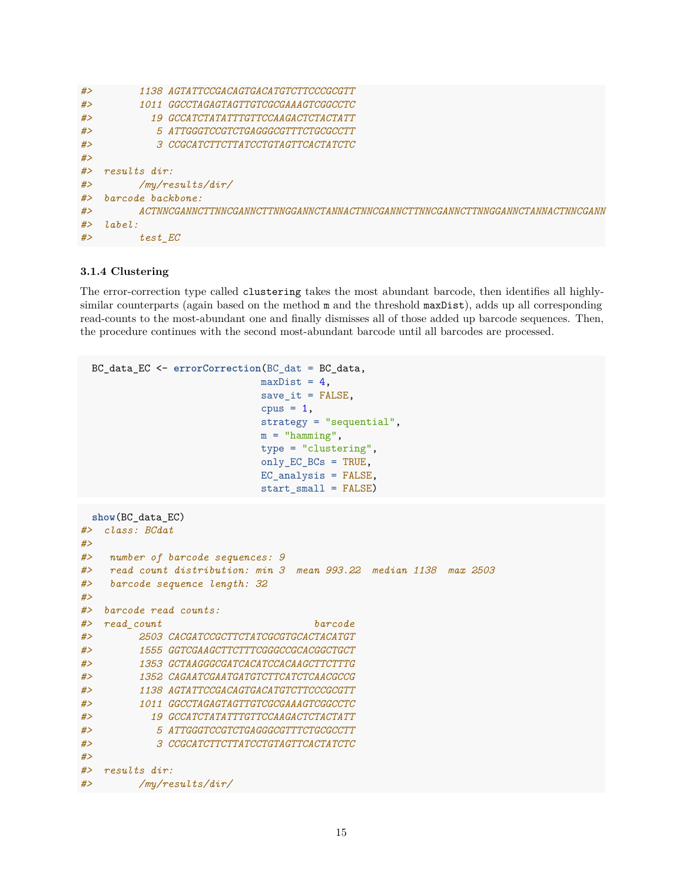```
#> 1138 AGTATTCCGACAGTGACATGTCTTCCCGCGTT
#> 1011 GGCCTAGAGTAGTTGTCGCGAAAGTCGGCCTC
#> 19 GCCATCTATATTTGTTCCAAGACTCTACTATT
#> 5 ATTGGGTCCGTCTGAGGGCGTTTCTGCGCCTT
#> 3 CCGCATCTTCTTATCCTGTAGTTCACTATCTC
#>
#> results dir:
#> /my/results/dir/
#> barcode backbone:
#> ACTNNCGANNCTTNNCGANNCTTNNGGANNCTANNACTNNCGANNCTTNNCGANNCTTNNGGANNCTANNACTNNCGANN
#> label:
#> test_EC
```
#### <span id="page-14-0"></span>**3.1.4 Clustering**

The error-correction type called clustering takes the most abundant barcode, then identifies all highlysimilar counterparts (again based on the method  $m$  and the threshold  $maxDist$ ), adds up all corresponding read-counts to the most-abundant one and finally dismisses all of those added up barcode sequences. Then, the procedure continues with the second most-abundant barcode until all barcodes are processed.

```
BC_data_EC <- errorCorrection(BC_dat = BC_data,
                             maxDist = 4,
                             save_i = FALSE,
                             cpus = 1,strategy = "sequential",
                             m = "hamming",
                             type = "clustering",
                             only_EC_BCs = TRUE,
                             EC_analysis = FALSE,
                             start_small = FALSE)
```

```
show(BC_data_EC)
#> class: BCdat
#>
#> number of barcode sequences: 9
#> read count distribution: min 3 mean 993.22 median 1138 max 2503
#> barcode sequence length: 32
#>
#> barcode read counts:
#> read_count barcode
#> 2503 CACGATCCGCTTCTATCGCGTGCACTACATGT
#> 1555 GGTCGAAGCTTCTTTCGGGCCGCACGGCTGCT
#> 1353 GCTAAGGGCGATCACATCCACAAGCTTCTTTG
#> 1352 CAGAATCGAATGATGTCTTCATCTCAACGCCG
#> 1138 AGTATTCCGACAGTGACATGTCTTCCCGCGTT
#> 1011 GGCCTAGAGTAGTTGTCGCGAAAGTCGGCCTC
#> 19 GCCATCTATATTTGTTCCAAGACTCTACTATT
#> 5 ATTGGGTCCGTCTGAGGGCGTTTCTGCGCCTT
#> 3 CCGCATCTTCTTATCCTGTAGTTCACTATCTC
#>
#> results dir:
#> /my/results/dir/
```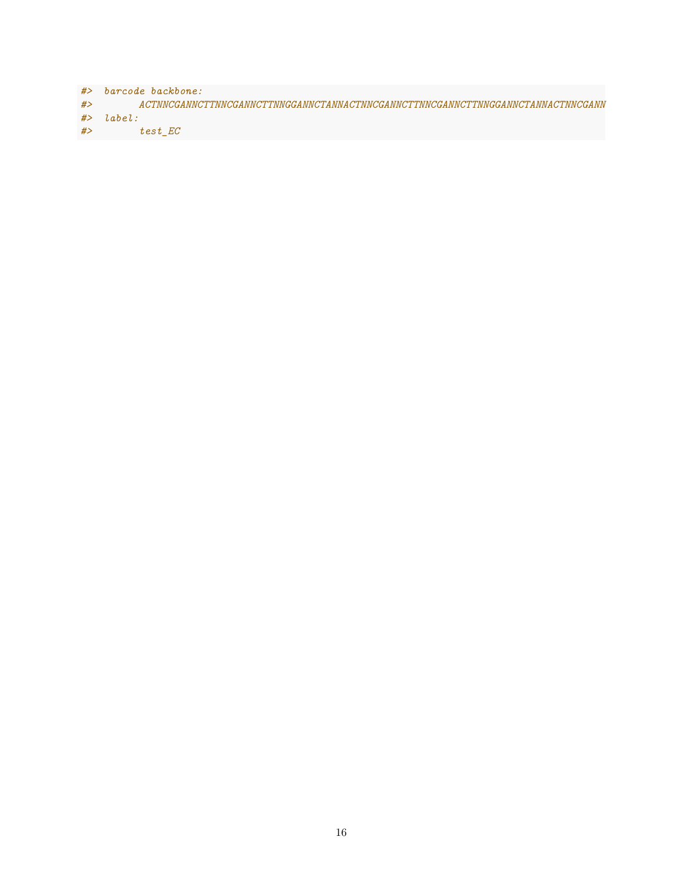*#> barcode backbone: #> ACTNNCGANNCTTNNCGANNCTTNNGGANNCTANNACTNNCGANNCTTNNCGANNCTTNNGGANNCTANNACTNNCGANN #> label: #> test\_EC*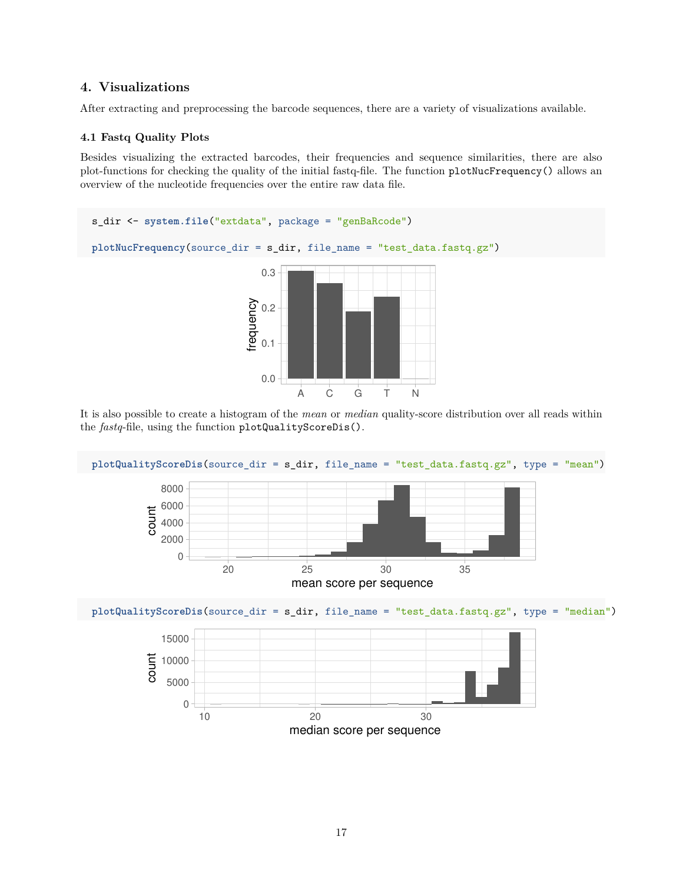## <span id="page-16-0"></span>**4. Visualizations**

<span id="page-16-1"></span>After extracting and preprocessing the barcode sequences, there are a variety of visualizations available.

## **4.1 Fastq Quality Plots**

Besides visualizing the extracted barcodes, their frequencies and sequence similarities, there are also plot-functions for checking the quality of the initial fastq-file. The function plotNucFrequency() allows an overview of the nucleotide frequencies over the entire raw data file.



It is also possible to create a histogram of the *mean* or *median* quality-score distribution over all reads within the *fastq*-file, using the function plotQualityScoreDis().

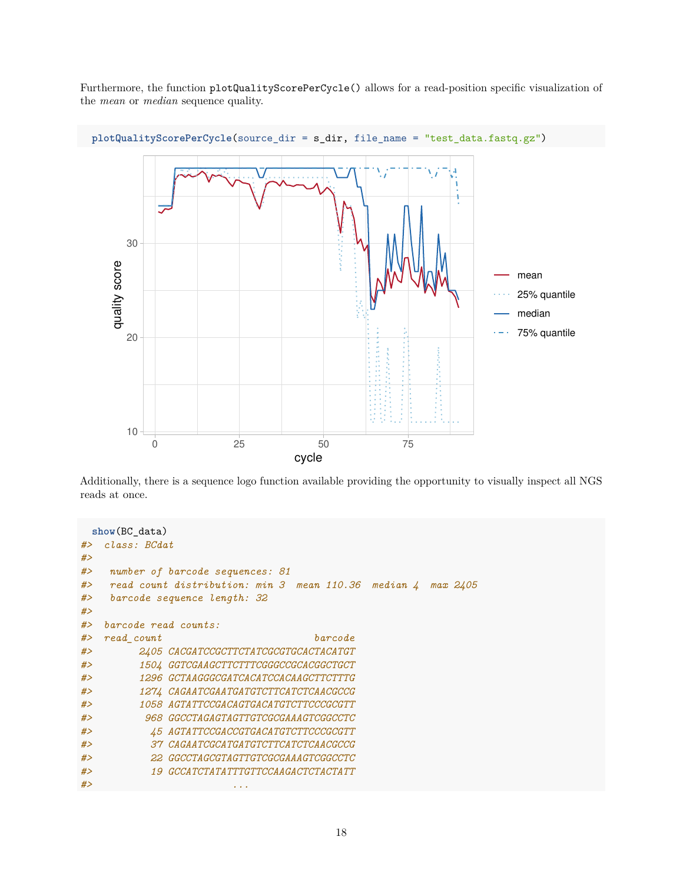Furthermore, the function plotQualityScorePerCycle() allows for a read-position specific visualization of the *mean* or *median* sequence quality.



Additionally, there is a sequence logo function available providing the opportunity to visually inspect all NGS reads at once.

```
show(BC_data)
#> class: BCdat
#>
#> number of barcode sequences: 81
#> read count distribution: min 3 mean 110.36 median 4 max 2405
#> barcode sequence length: 32
#>
#> barcode read counts:
#> read_count barcode
#> 2405 CACGATCCGCTTCTATCGCGTGCACTACATGT
#> 1504 GGTCGAAGCTTCTTTCGGGCCGCACGGCTGCT
#> 1296 GCTAAGGGCGATCACATCCACAAGCTTCTTTG
#> 1274 CAGAATCGAATGATGTCTTCATCTCAACGCCG
#> 1058 AGTATTCCGACAGTGACATGTCTTCCCGCGTT
#> 968 GGCCTAGAGTAGTTGTCGCGAAAGTCGGCCTC
#> 45 AGTATTCCGACCGTGACATGTCTTCCCGCGTT
#> 37 CAGAATCGCATGATGTCTTCATCTCAACGCCG
#> 22 GGCCTAGCGTAGTTGTCGCGAAAGTCGGCCTC
#> 19 GCCATCTATATTTGTTCCAAGACTCTACTATT
#> ...
```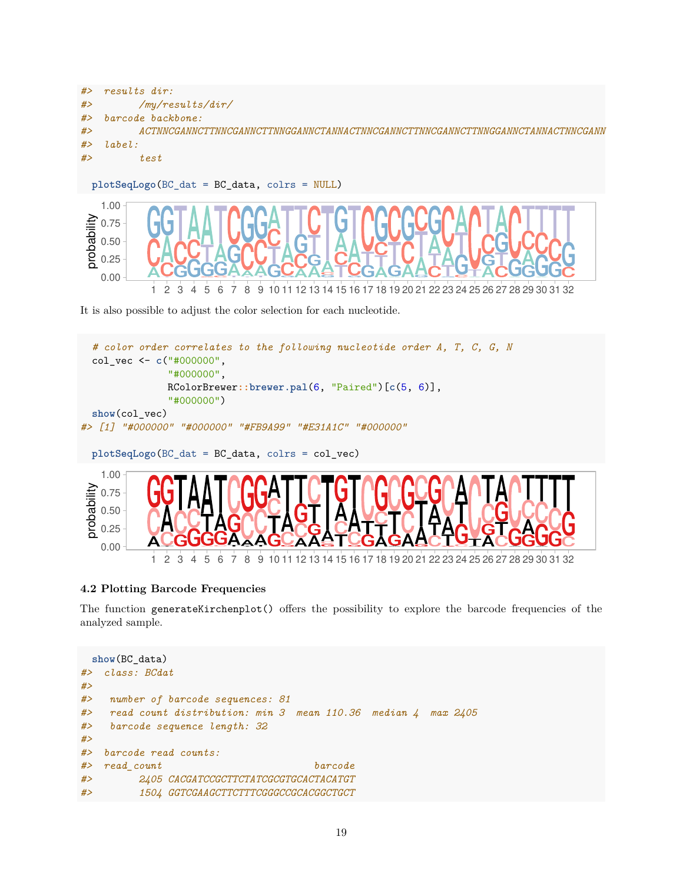



It is also possible to adjust the color selection for each nucleotide.



# <span id="page-18-0"></span>**4.2 Plotting Barcode Frequencies**

The function generateKirchenplot() offers the possibility to explore the barcode frequencies of the analyzed sample.

```
show(BC_data)
#> class: BCdat
#>
#> number of barcode sequences: 81
#> read count distribution: min 3 mean 110.36 median 4 max 2405
#> barcode sequence length: 32
#>
#> barcode read counts:
#> read_count barcode
#> 2405 CACGATCCGCTTCTATCGCGTGCACTACATGT
#> 1504 GGTCGAAGCTTCTTTCGGGCCGCACGGCTGCT
```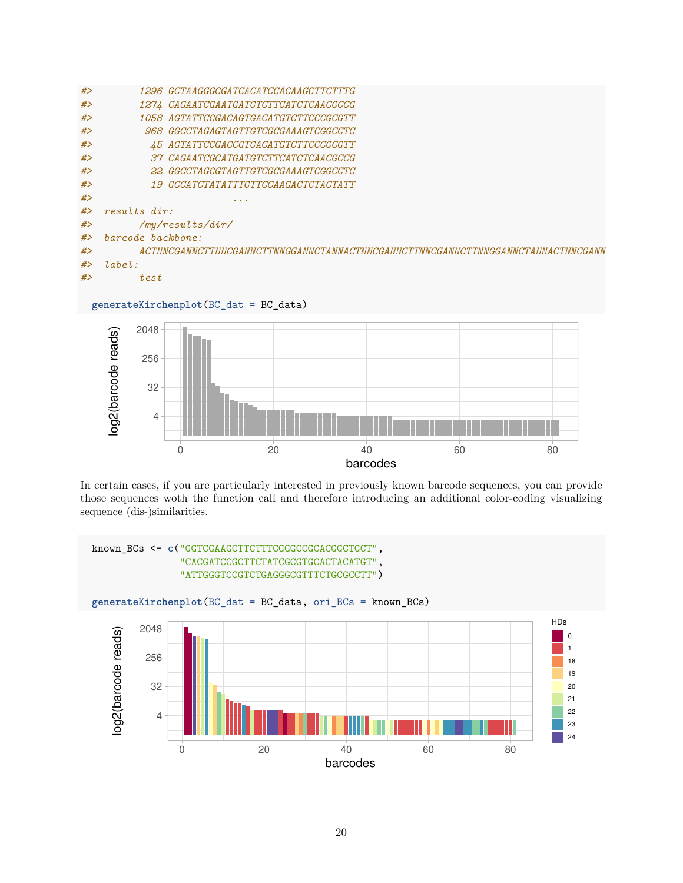| #>    | <i>1296 GCTAAGGGCGATCACATCCACAAGCTTCTTTG</i>                                                         |  |  |
|-------|------------------------------------------------------------------------------------------------------|--|--|
| #>    | 1274 CAGAATCGAATGATGTCTTCATCTCAACGCCG                                                                |  |  |
| #>    | 1058 AGTATTCCGACAGTGACATGTCTTCCCGCGTT                                                                |  |  |
| #>    | <i>968 GGCCTAGAGTAGTTGTCGCGAAAGTCGGCCTC</i>                                                          |  |  |
| #>    | 45 AGTATTCCGACCGTGACATGTCTTCCCGCGTT                                                                  |  |  |
| #>    | 37 CAGAATCGCATGATGTCTTCATCTCAACGCCG                                                                  |  |  |
| #>    | 22 GGCCTAGCGTAGTTGTCGCGAAAGTCGGCCTC                                                                  |  |  |
| #>    | <i>19 GCCATCTATATTTGTTCCAAGACTCTACTATT</i>                                                           |  |  |
| #>    |                                                                                                      |  |  |
| #>    | $results$ dir:                                                                                       |  |  |
| #>    | /my/results/dir/                                                                                     |  |  |
| # $>$ | barcode backbone:                                                                                    |  |  |
| #>    | A CTNNCG A NNCTTNNCG A NNCTTNNGG A NNCT A NNA CTNNCG A NNCTTNNCG A NNCTTNNGG A NNCTA NNA CTNNCG A NN |  |  |
| #>    | label:1                                                                                              |  |  |
| #>    | test                                                                                                 |  |  |
|       |                                                                                                      |  |  |



In certain cases, if you are particularly interested in previously known barcode sequences, you can provide those sequences woth the function call and therefore introducing an additional color-coding visualizing sequence (dis-)similarities.

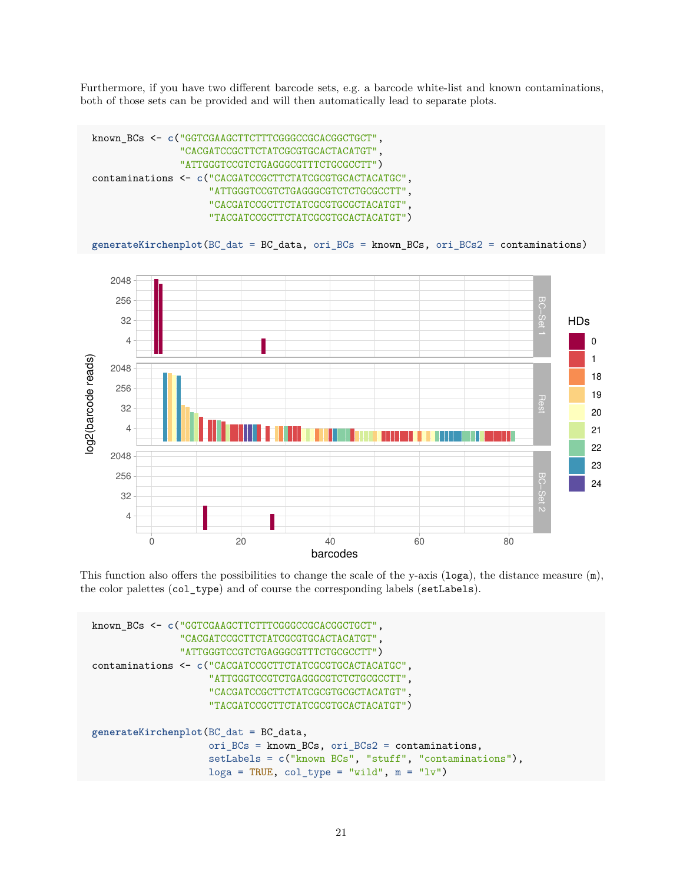Furthermore, if you have two different barcode sets, e.g. a barcode white-list and known contaminations, both of those sets can be provided and will then automatically lead to separate plots.



This function also offers the possibilities to change the scale of the y-axis ( $log a$ ), the distance measure  $(m)$ , the color palettes (col\_type) and of course the corresponding labels (setLabels).

```
known_BCs <- c("GGTCGAAGCTTCTTTCGGGCCGCACGGCTGCT",
               "CACGATCCGCTTCTATCGCGTGCACTACATGT",
               "ATTGGGTCCGTCTGAGGGCGTTTCTGCGCCTT")
contaminations <- c("CACGATCCGCTTCTATCGCGTGCACTACATGC",
                    "ATTGGGTCCGTCTGAGGGCGTCTCTGCGCCTT",
                    "CACGATCCGCTTCTATCGCGTGCGCTACATGT",
                    "TACGATCCGCTTCTATCGCGTGCACTACATGT")
generateKirchenplot(BC_dat = BC_data,
                    ori_BCs = known_BCs, ori_BCs2 = contaminations,
                    setLabels = c("known BCs", "stuff", "contaminations"),
                    loga = TRUE, col_type = "wild", m = "lv")
```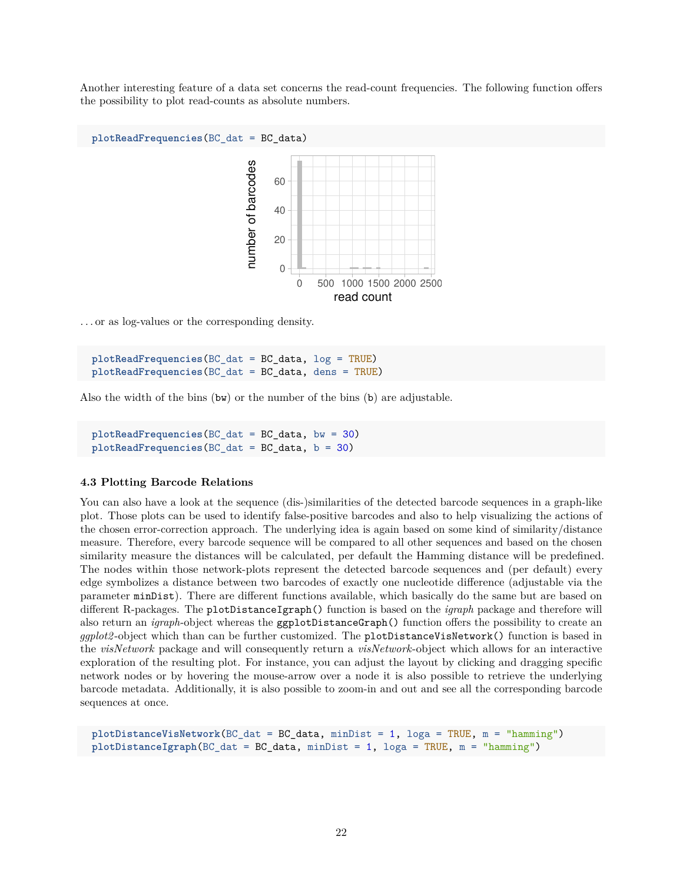Another interesting feature of a data set concerns the read-count frequencies. The following function offers the possibility to plot read-counts as absolute numbers.



. . . or as log-values or the corresponding density.

**plotReadFrequencies**(BC\_dat = BC\_data, log = TRUE) **plotReadFrequencies**(BC\_dat = BC\_data, dens = TRUE)

Also the width of the bins (bw) or the number of the bins (b) are adjustable.

**plotReadFrequencies**(BC\_dat = BC\_data, bw = 30) **plotReadFrequencies**(BC\_dat = BC\_data, b = 30)

#### <span id="page-21-0"></span>**4.3 Plotting Barcode Relations**

You can also have a look at the sequence (dis-)similarities of the detected barcode sequences in a graph-like plot. Those plots can be used to identify false-positive barcodes and also to help visualizing the actions of the chosen error-correction approach. The underlying idea is again based on some kind of similarity/distance measure. Therefore, every barcode sequence will be compared to all other sequences and based on the chosen similarity measure the distances will be calculated, per default the [Hamming distance](https://en.wikipedia.org/wiki/Hamming_distance) will be predefined. The nodes within those network-plots represent the detected barcode sequences and (per default) every edge symbolizes a distance between two barcodes of exactly one nucleotide difference (adjustable via the parameter minDist). There are different functions available, which basically do the same but are based on different R-packages. The plotDistanceIgraph() function is based on the *igraph* package and therefore will also return an *igraph*-object whereas the ggplotDistanceGraph() function offers the possibility to create an *ggplot2* -object which than can be further customized. The plotDistanceVisNetwork() function is based in the *visNetwork* package and will consequently return a *visNetwork*-object which allows for an interactive exploration of the resulting plot. For instance, you can adjust the layout by clicking and dragging specific network nodes or by hovering the mouse-arrow over a node it is also possible to retrieve the underlying barcode metadata. Additionally, it is also possible to zoom-in and out and see all the corresponding barcode sequences at once.

**plotDistanceVisNetwork**(BC\_dat = BC\_data, minDist = 1, loga = TRUE, m = "hamming") **plotDistanceIgraph**(BC\_dat = BC\_data, minDist = 1, loga = TRUE, m = "hamming")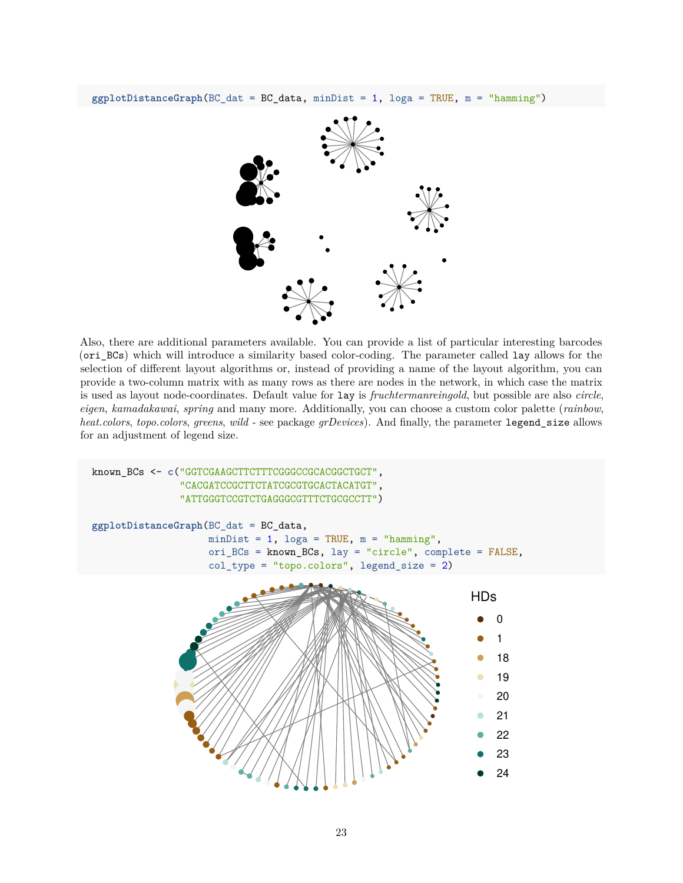

Also, there are additional parameters available. You can provide a list of particular interesting barcodes (ori\_BCs) which will introduce a similarity based color-coding. The parameter called lay allows for the selection of different layout algorithms or, instead of providing a name of the layout algorithm, you can provide a two-column matrix with as many rows as there are nodes in the network, in which case the matrix is used as layout node-coordinates. Default value for lay is *fruchtermanreingold*, but possible are also *circle*, *eigen*, *kamadakawai*, *spring* and many more. Additionally, you can choose a custom color palette (*rainbow*, *heat.colors*, *topo.colors*, *greens*, *wild* - see package *grDevices*). And finally, the parameter legend\_size allows for an adjustment of legend size.

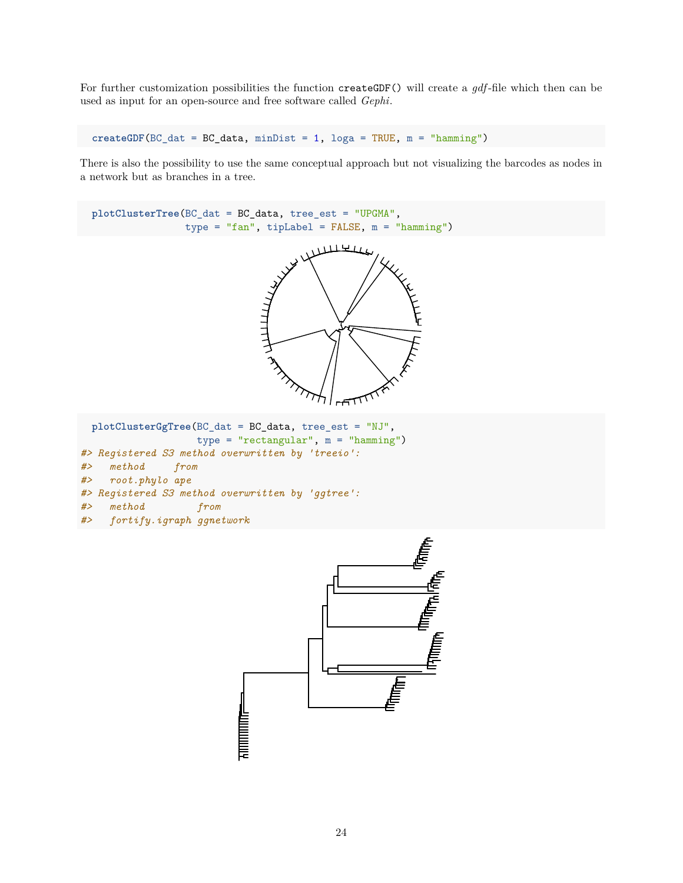For further customization possibilities the function createGDF() will create a *gdf*-file which then can be used as input for an open-source and free software called *[Gephi](https://gephi.org)*.

 $\c{createGDF}$ (BC\_dat = BC\_data, minDist = 1, loga = TRUE, m = "hamming")

There is also the possibility to use the same conceptual approach but not visualizing the barcodes as nodes in a network but as branches in a tree.



<span id="page-23-0"></span>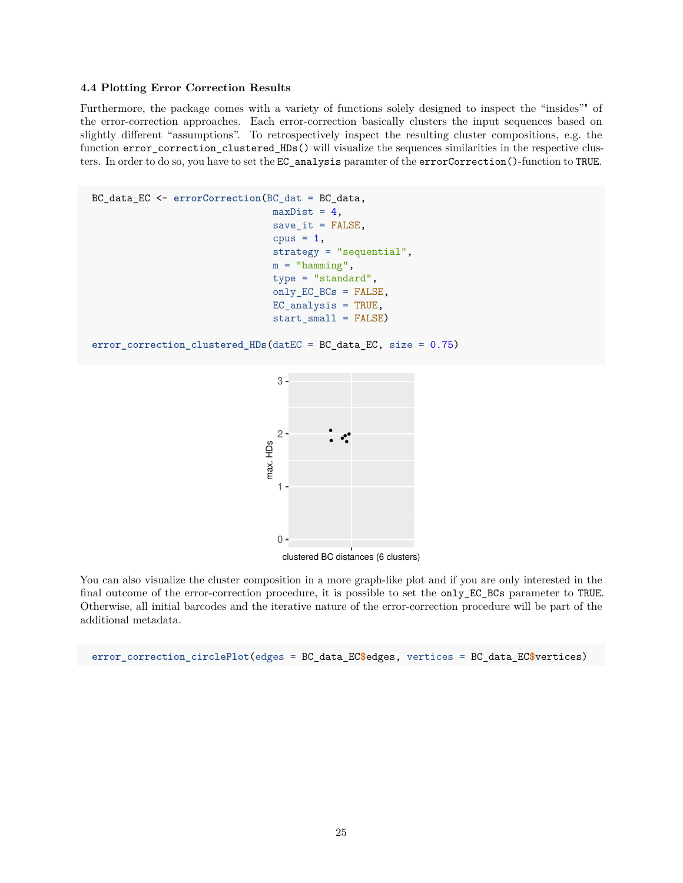#### **4.4 Plotting Error Correction Results**

Furthermore, the package comes with a variety of functions solely designed to inspect the "insides"" of the error-correction approaches. Each error-correction basically clusters the input sequences based on slightly different "assumptions". To retrospectively inspect the resulting cluster compositions, e.g. the function error\_correction\_clustered\_HDs() will visualize the sequences similarities in the respective clusters. In order to do so, you have to set the EC\_analysis paramter of the errorCorrection()-function to TRUE.

```
BC_data_EC <- errorCorrection(BC_dat = BC_data,
                               maxDist = 4,
                               save_i = FALSE,
                               cpus = 1,strategy = "sequential",
                               m = "hamming",
                               type = "standard",
                               only_EC_BCs = FALSE,
                               EC_analysis = TRUE,
                               start_small = FALSE)
error_correction_clustered_HDs(datEC = BC_data_EC, size = 0.75)
```

```
\overline{0}1
    2
    3 -clustered BC distances (6 clusters)
max. HDs
```
You can also visualize the cluster composition in a more graph-like plot and if you are only interested in the final outcome of the error-correction procedure, it is possible to set the only\_EC\_BCs parameter to TRUE. Otherwise, all initial barcodes and the iterative nature of the error-correction procedure will be part of the additional metadata.

```
error_correction_circlePlot(edges = BC_data_EC$edges, vertices = BC_data_EC$vertices)
```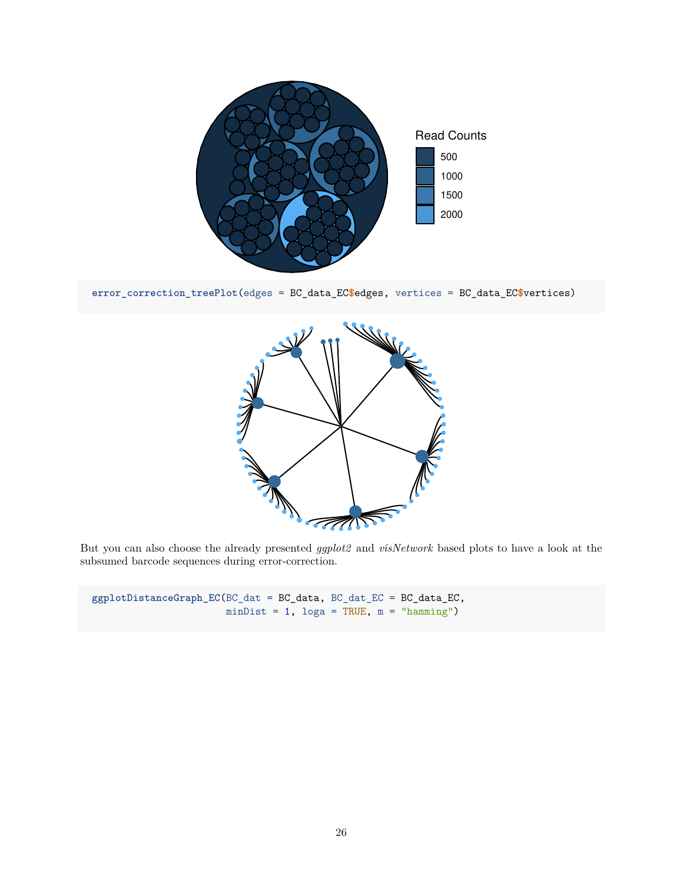

**error\_correction\_treePlot**(edges = BC\_data\_EC**\$**edges, vertices = BC\_data\_EC**\$**vertices)



But you can also choose the already presented *ggplot2* and *visNetwork* based plots to have a look at the subsumed barcode sequences during error-correction.

**ggplotDistanceGraph\_EC**(BC\_dat = BC\_data, BC\_dat\_EC = BC\_data\_EC, minDist =  $1$ , loga = TRUE,  $m = "hamming")$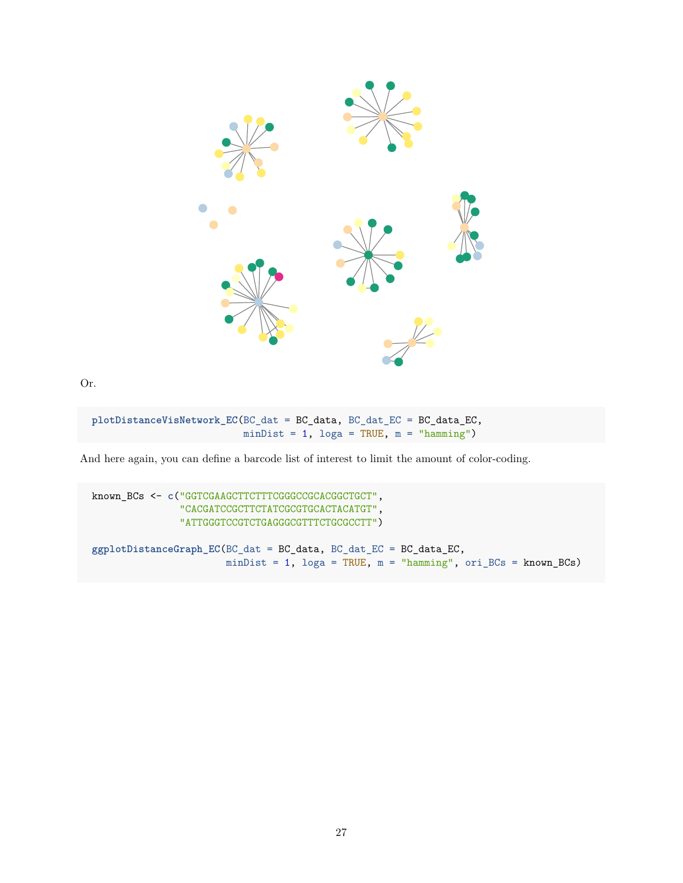

Or.

```
plotDistanceVisNetwork_EC(BC_dat = BC_data, BC_dat_EC = BC_data_EC,
                          minDist = 1, loga = TRUE, m = "hamming")
```
And here again, you can define a barcode list of interest to limit the amount of color-coding.

known\_BCs <- **c**("GGTCGAAGCTTCTTTCGGGCCGCACGGCTGCT", "CACGATCCGCTTCTATCGCGTGCACTACATGT", "ATTGGGTCCGTCTGAGGGCGTTTCTGCGCCTT") **ggplotDistanceGraph\_EC**(BC\_dat = BC\_data, BC\_dat\_EC = BC\_data\_EC, minDist = 1, loga = TRUE, m = "hamming", ori\_BCs = known\_BCs)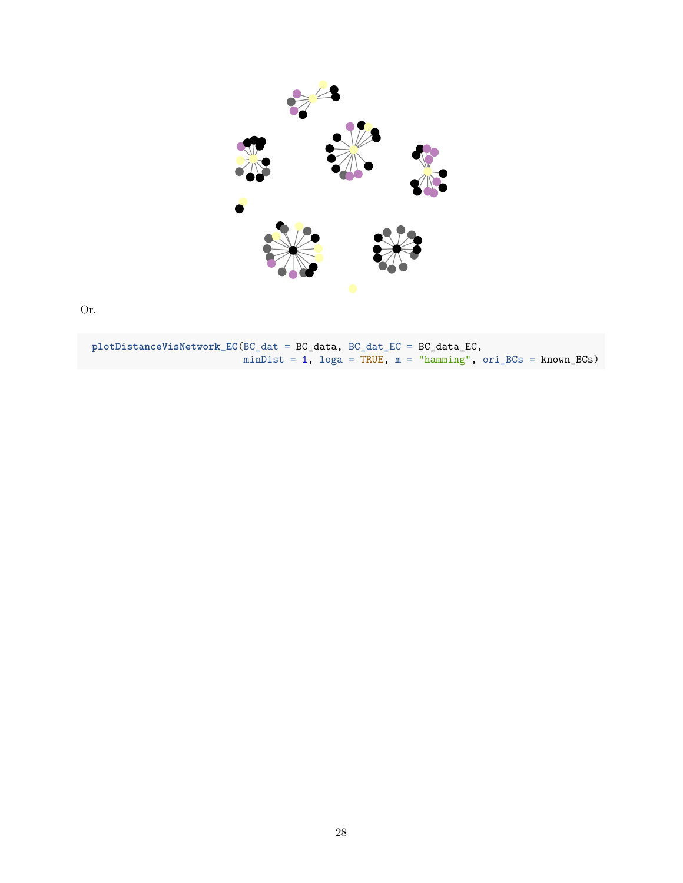

Or.

**plotDistanceVisNetwork\_EC**(BC\_dat = BC\_data, BC\_dat\_EC = BC\_data\_EC, minDist = 1,  $\log a = \text{TRUE}$ ,  $m = \text{"hamming"}$ ,  $\text{ori\_BCs} = \text{known\_BCs}$ )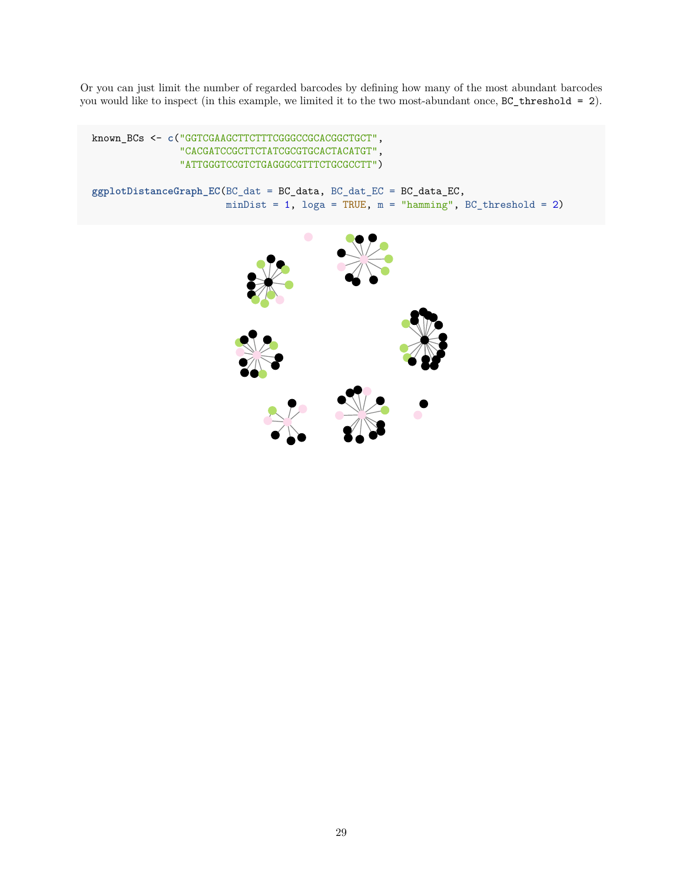Or you can just limit the number of regarded barcodes by defining how many of the most abundant barcodes you would like to inspect (in this example, we limited it to the two most-abundant once, BC\_threshold = 2).

```
known_BCs <- c("GGTCGAAGCTTCTTTCGGGCCGCACGGCTGCT",
               "CACGATCCGCTTCTATCGCGTGCACTACATGT",
               "ATTGGGTCCGTCTGAGGGCGTTTCTGCGCCTT")
ggplotDistanceGraph_EC(BC_dat = BC_data, BC_dat_EC = BC_data_EC,
                       minDist = 1, \log a = TRUE, m = "hamming", BC_threshold = 2)
```
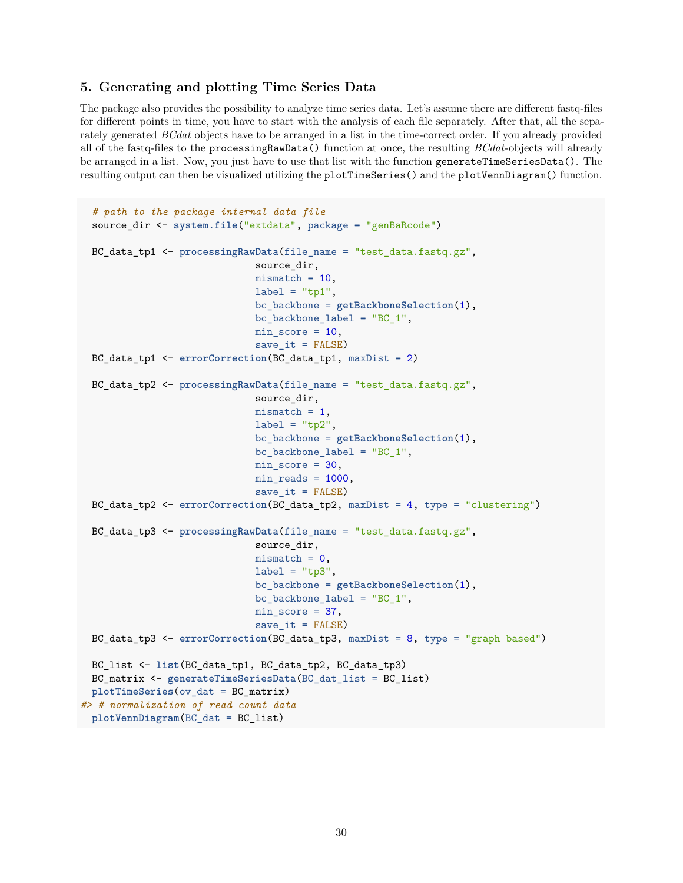## <span id="page-29-0"></span>**5. Generating and plotting Time Series Data**

The package also provides the possibility to analyze time series data. Let's assume there are different fastq-files for different points in time, you have to start with the analysis of each file separately. After that, all the separately generated *BCdat* objects have to be arranged in a list in the time-correct order. If you already provided all of the fastq-files to the processingRawData() function at once, the resulting *BCdat*-objects will already be arranged in a list. Now, you just have to use that list with the function generateTimeSeriesData(). The resulting output can then be visualized utilizing the plotTimeSeries() and the plotVennDiagram() function.

```
# path to the package internal data file
 source_dir <- system.file("extdata", package = "genBaRcode")
 BC_data_tp1 <- processingRawData(file_name = "test_data.fastq.gz",
                              source dir,
                              mismatch = 10,
                              label = "tp1",
                              bc_backbone = getBackboneSelection(1),
                              bc_backbone_label = "BC_1",
                              min_score = 10,
                              save_i = FALSE)BC_data_tp1 <- errorCorrection(BC_data_tp1, maxDist = 2)
 BC_data_tp2 <- processingRawData(file_name = "test_data.fastq.gz",
                              source_dir,
                              mismatch = 1,
                              label = "tp2",bc_backbone = getBackboneSelection(1),
                              bc_backbone_label = "BC_1",
                              min_score = 30,
                              min\_reads = 1000,save_i = FALSE)
 BC_data_tp2 <- errorCorrection(BC_data_tp2, maxDist = 4, type = "clustering")
 BC_data_tp3 <- processingRawData(file_name = "test_data.fastq.gz",
                              source_dir,
                              mismatch = 0,label = "tp3",bc_backbone = getBackboneSelection(1),
                              bc_backbone_label = "BC_1",
                              min_score = 37,
                              save_i = FALSE)BC_data_tp3 <- errorCorrection(BC_data_tp3, maxDist = 8, type = "graph based")
 BC_list <- list(BC_data_tp1, BC_data_tp2, BC_data_tp3)
 BC_matrix <- generateTimeSeriesData(BC_dat_list = BC_list)
 plotTimeSeries(ov_dat = BC_matrix)
#> # normalization of read count data
 plotVennDiagram(BC_dat = BC_list)
```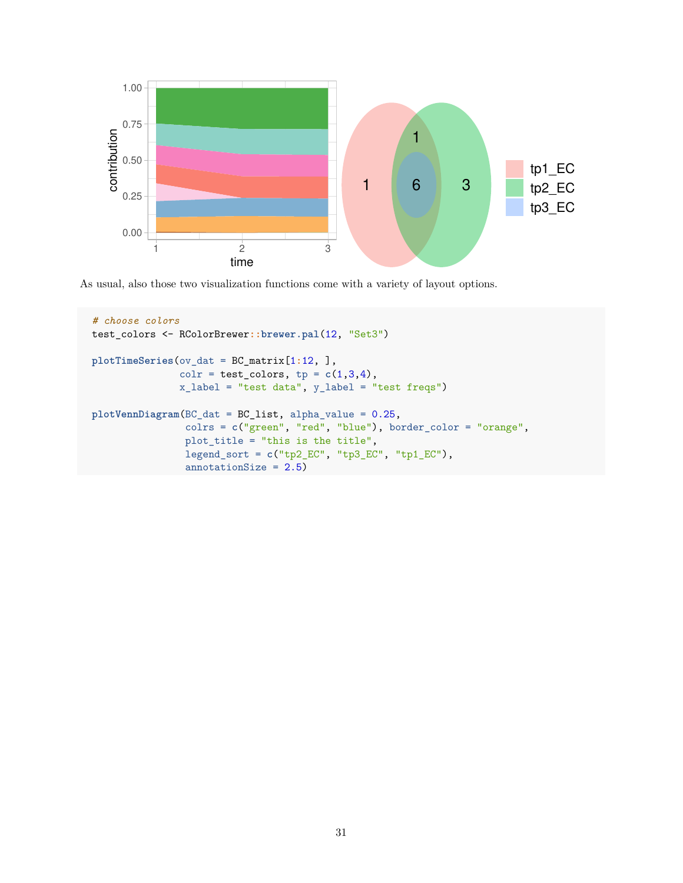

As usual, also those two visualization functions come with a variety of layout options.

```
# choose colors
test_colors <- RColorBrewer::brewer.pal(12, "Set3")
plotTimeSeries(ov_dat = BC_matrix[1:12, ],
               colr = test\_colors, tp = c(1,3,4),x_label = "test data", y_label = "test freqs")
plotVennDiagram(BC_dat = BC_list, alpha_value = 0.25,
                colrs = c("green", "red", "blue"), border_color = "orange",
                plot_title = "this is the title",
                legend_sort = c("tp2_EC", "tp3_EC", "tp1_EC"),
                annotationSize = 2.5)
```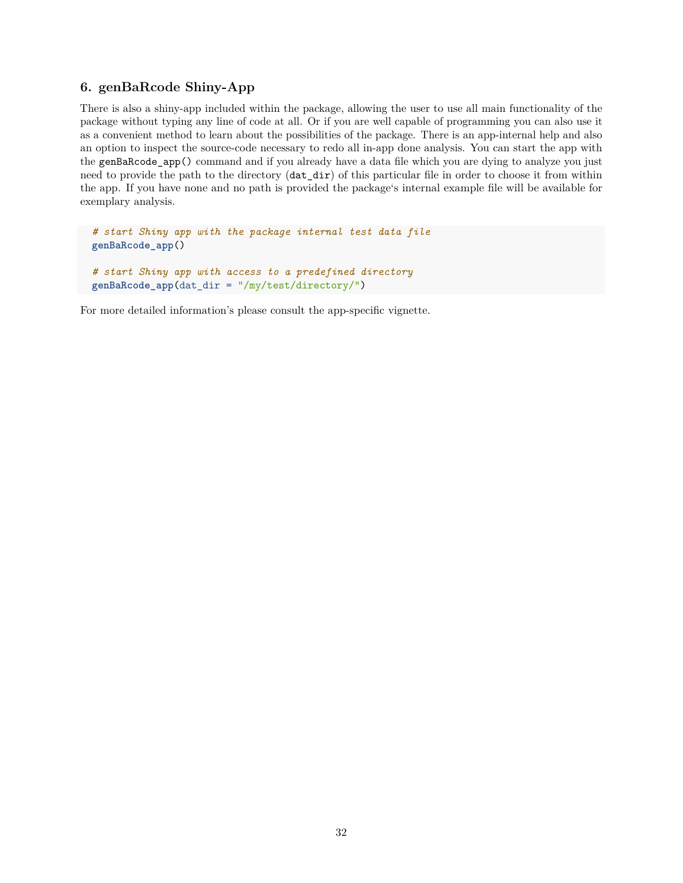# <span id="page-31-0"></span>**6. genBaRcode Shiny-App**

There is also a shiny-app included within the package, allowing the user to use all main functionality of the package without typing any line of code at all. Or if you are well capable of programming you can also use it as a convenient method to learn about the possibilities of the package. There is an app-internal help and also an option to inspect the source-code necessary to redo all in-app done analysis. You can start the app with the genBaRcode\_app() command and if you already have a data file which you are dying to analyze you just need to provide the path to the directory (dat\_dir) of this particular file in order to choose it from within the app. If you have none and no path is provided the package's internal example file will be available for exemplary analysis.

```
# start Shiny app with the package internal test data file
genBaRcode_app()
# start Shiny app with access to a predefined directory
```

```
genBaRcode_app(dat_dir = "/my/test/directory/")
```
For more detailed information's please consult the app-specific vignette.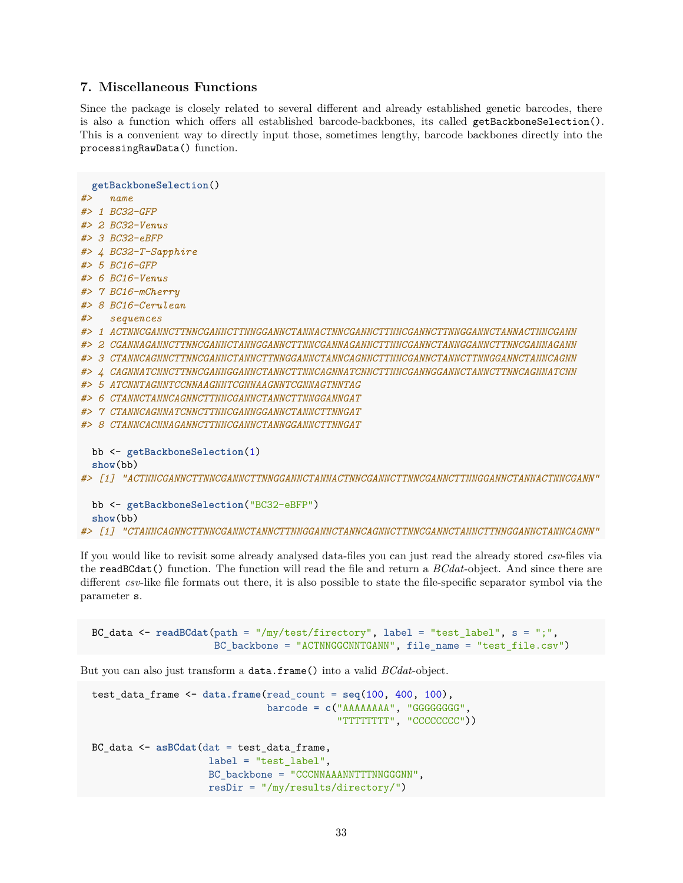## <span id="page-32-0"></span>**7. Miscellaneous Functions**

Since the package is closely related to several different and already established genetic barcodes, there is also a function which offers all established barcode-backbones, its called getBackboneSelection(). This is a convenient way to directly input those, sometimes lengthy, barcode backbones directly into the processingRawData() function.

```
getBackboneSelection()
#> name
#> 1 BC32-GFP
#> 2 BC32-Venus
#> 3 BC32-eBFP
#> 4 BC32-T-Sapphire
#> 5 BC16-GFP
#> 6 BC16-Venus
#> 7 BC16-mCherry
#> 8 BC16-Cerulean
#> sequences
#> 1 ACTNNCGANNCTTNNCGANNCTTNNGGANNCTANNACTNNCGANNCTTNNCGANNCTTNNGGANNCTANNACTNNCGANN
#> 2 CGANNAGANNCTTNNCGANNCTANNGGANNCTTNNCGANNAGANNCTTNNCGANNCTANNGGANNCTTNNCGANNAGANN
#> 3 CTANNCAGNNCTTNNCGANNCTANNCTTNNGGANNCTANNCAGNNCTTNNCGANNCTANNCTTNNGGANNCTANNCAGNN
#> 4 CAGNNATCNNCTTNNCGANNGGANNCTANNCTTNNCAGNNATCNNCTTNNCGANNGGANNCTANNCTTNNCAGNNATCNN
#> 5 ATCNNTAGNNTCCNNAAGNNTCGNNAAGNNTCGNNAGTNNTAG
#> 6 CTANNCTANNCAGNNCTTNNCGANNCTANNCTTNNGGANNGAT
#> 7 CTANNCAGNNATCNNCTTNNCGANNGGANNCTANNCTTNNGAT
#> 8 CTANNCACNNAGANNCTTNNCGANNCTANNGGANNCTTNNGAT
 bb <- getBackboneSelection(1)
 show(bb)
#> [1] "ACTNNCGANNCTTNNCGANNCTTNNGGANNCTANNACTNNCGANNCTTNNCGANNCTTNNGGANNCTANNACTNNCGANN"
 bb <- getBackboneSelection("BC32-eBFP")
 show(bb)
```
*#> [1] "CTANNCAGNNCTTNNCGANNCTANNCTTNNGGANNCTANNCAGNNCTTNNCGANNCTANNCTTNNGGANNCTANNCAGNN"*

If you would like to revisit some already analysed data-files you can just read the already stored *csv*-files via the readBCdat() function. The function will read the file and return a *BCdat*-object. And since there are different *csv*-like file formats out there, it is also possible to state the file-specific separator symbol via the parameter s.

BC\_data <- **readBCdat**(path = "/my/test/firectory", label = "test\_label", s = ";", BC\_backbone = "ACTNNGGCNNTGANN", file\_name = "test\_file.csv")

But you can also just transform a data.frame() into a valid *BCdat*-object.

```
test_data_frame <- data.frame(read_count = seq(100, 400, 100),
                              barcode = c("AAAAAA", "GGGGGGGG""TTTTTTTT", "CCCCCCCCC"))
BC_data <- asBCdat(dat = test_data_frame,
                    label = "test_label",
                    BC_backbone = "CCCNNAAANNTTTNNGGGNN",
                    resDir = "/my/results/directory/")
```